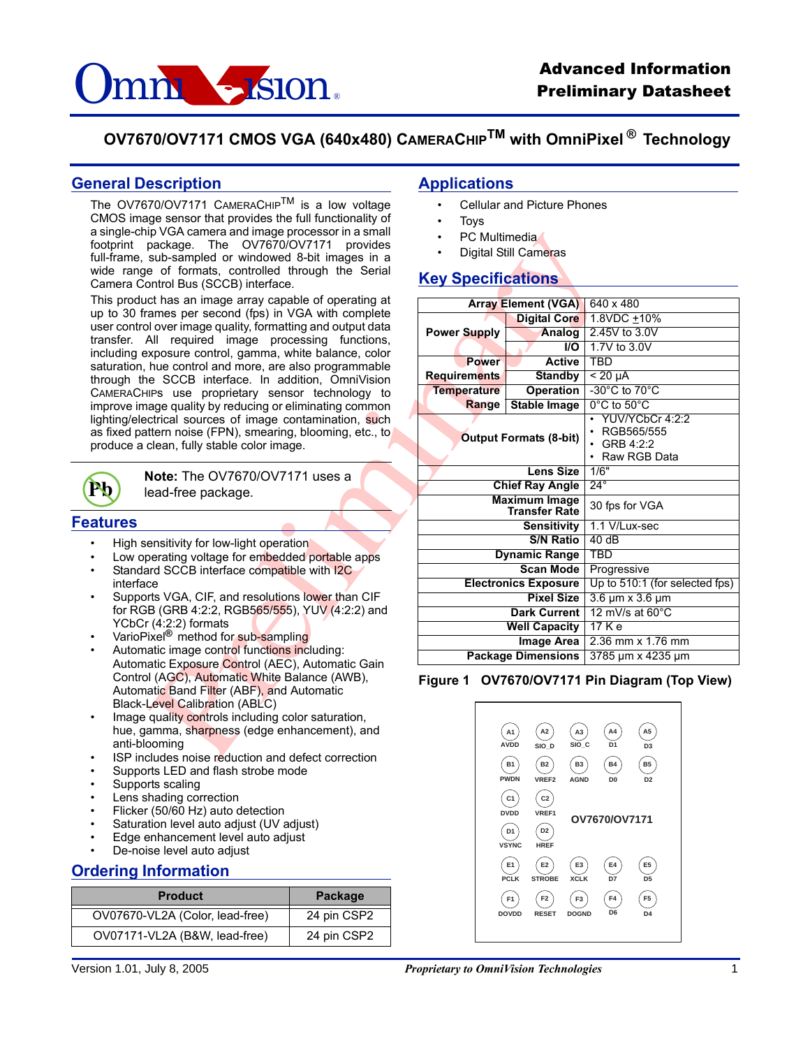

**OV7670/OV7171 CMOS VGA (640x480) CAMERACHIPTM with OmniPixel ® Technology**

#### **General Description**

The OV7670/OV7171 CAMERACHIP<sup>TM</sup> is a low voltage CMOS image sensor that provides the full functionality of a single-chip VGA camera and image processor in a small footprint package. The OV7670/OV7171 provides full-frame, sub-sampled or windowed 8-bit images in a wide range of formats, controlled through the Serial Camera Control Bus (SCCB) interface.

This product has an image array capable of operating at up to 30 frames per second (fps) in VGA with complete user control over image quality, formatting and output data transfer. All required image processing functions, including exposure control, gamma, white balance, color saturation, hue control and more, are also programmable through the SCCB interface. In addition, OmniVision CAMERACHIPs use proprietary sensor technology to improve image quality by reducing or eliminating common lighting/electrical sources of image contamination, such as fixed pattern noise (FPN), smearing, blooming, etc., to produce a clean, fully stable color image.



**Note:** The OV7670/OV7171 uses a lead-free package.

#### **Features**

- High sensitivity for low-light operation
- Low operating voltage for embedded portable apps Standard SCCB interface compatible with I2C
- interface Supports VGA, CIF, and resolutions lower than CIF for RGB (GRB 4:2:2, RGB565/555), YUV (4:2:2) and
- YCbCr (4:2:2) formats VarioPixel**®** method for sub-sampling
- 
- Automatic image control functions including: Automatic Exposure Control (AEC), Automatic Gain Control (AGC), Automatic White Balance (AWB), Automatic Band Filter (ABF), and Automatic Black-Level Calibration (ABLC)
- Image quality controls including color saturation, hue, gamma, sharpness (edge enhancement), and anti-blooming
- ISP includes noise reduction and defect correction
- Supports LED and flash strobe mode
- Supports scaling
- Lens shading correction
- Flicker (50/60 Hz) auto detection
- Saturation level auto adjust (UV adjust)
- Edge enhancement level auto adjust
- De-noise level auto adjust

#### **Ordering Information**

| <b>Product</b>                  | Package     |
|---------------------------------|-------------|
| OV07670-VL2A (Color, lead-free) | 24 pin CSP2 |
| OV07171-VL2A (B&W, lead-free)   | 24 pin CSP2 |

#### **Applications**

- Cellular and Picture Phones
- **Toys**
- PC Multimedia
- Digital Still Cameras

## **Key Specifications**

|                     | <b>Array Element (VGA)</b>                   | 640 x 480                                                              |
|---------------------|----------------------------------------------|------------------------------------------------------------------------|
|                     | <b>Digital Core</b>                          | 1.8VDC +10%                                                            |
| <b>Power Supply</b> | <b>Analog</b>                                | 2.45V to 3.0V                                                          |
|                     | <b>VO</b>                                    | 1.7V to 3.0V                                                           |
| <b>Power</b>        | <b>Active</b>                                | TBD                                                                    |
| <b>Requirements</b> | <b>Standby</b>                               | $< 20 \mu A$                                                           |
| <b>Temperature</b>  | <b>Operation</b>                             | $-30^{\circ}$ C to 70 $^{\circ}$ C                                     |
| Range               | <b>Stable Image</b>                          | $0^{\circ}$ C to 50 $^{\circ}$ C                                       |
|                     | <b>Output Formats (8-bit)</b>                | YUV/YCbCr 4:2:2<br>· RGB565/555<br>$\cdot$ GRB 4:2:2<br>• Raw RGB Data |
|                     | <b>Lens Size</b>                             | 1/6"                                                                   |
|                     | <b>Chief Ray Angle</b>                       | $24^{\circ}$                                                           |
|                     | <b>Maximum Image</b><br><b>Transfer Rate</b> | 30 fps for VGA                                                         |
|                     | <b>Sensitivity</b>                           | 1.1 V/Lux-sec                                                          |
|                     | <b>S/N Ratio</b>                             | 40dB                                                                   |
|                     | <b>Dynamic Range</b>                         | TBD                                                                    |
|                     | <b>Scan Mode</b>                             | Progressive                                                            |
|                     | <b>Electronics Exposure</b>                  | Up to 510:1 (for selected fps)                                         |
|                     | <b>Pixel Size</b>                            | $3.6 \mu m \times 3.6 \mu m$                                           |
|                     | <b>Dark Current</b>                          | 12 mV/s at $60^{\circ}$ C                                              |
|                     | <b>Well Capacity</b>                         | 17Ke                                                                   |
|                     | <b>Image Area</b>                            | 2.36 mm x 1.76 mm                                                      |
|                     | <b>Package Dimensions</b>                    | 3785 µm x 4235 µm                                                      |

#### **Figure 1 OV7670/OV7171 Pin Diagram (Top View)**

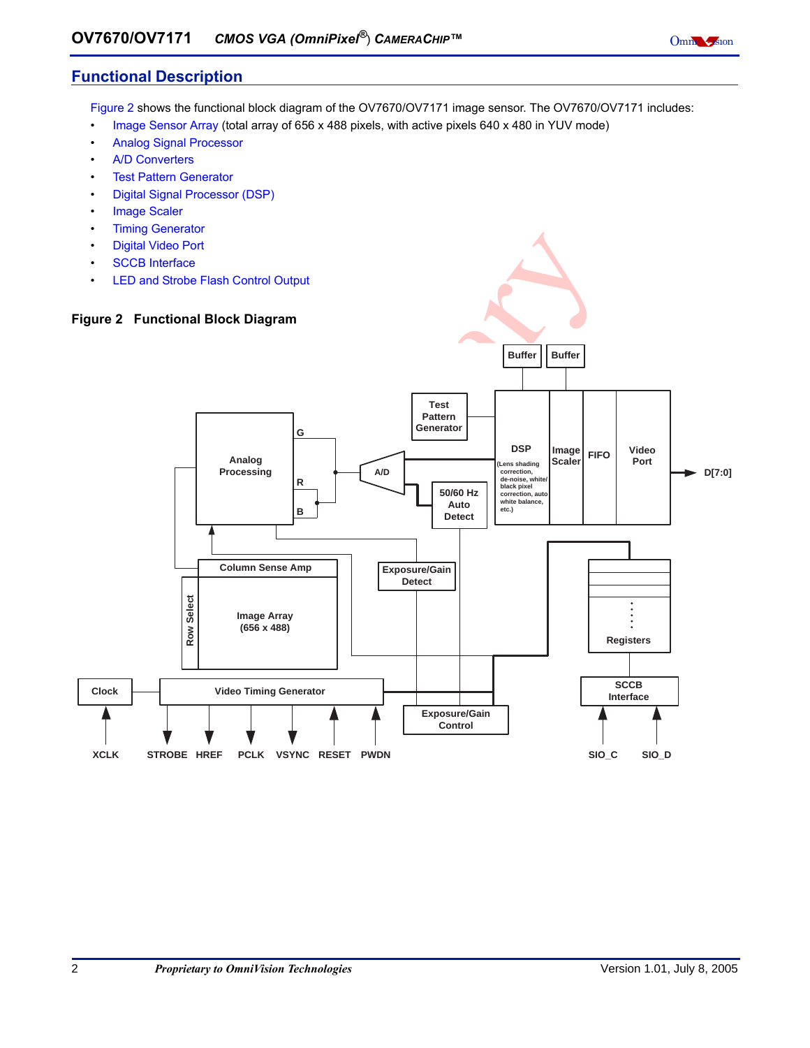

## **Functional Description**

[Figure 2](#page-1-0) shows the functional block diagram of the OV7670/OV7171 image sensor. The OV7670/OV7171 includes:

- [Image Sensor Array](#page-2-0) (total array of 656 x 488 pixels, with active pixels 640 x 480 in YUV mode)
- [Analog Signal Processor](#page-2-1)
- [A/D Converters](#page-2-2)
- [Test Pattern Generator](#page-2-9)
- [Digital Signal Processor \(DSP\)](#page-2-3)
- [Image Scaler](#page-2-4)
- [Timing Generator](#page-2-5)
- [Digital Video Port](#page-2-7)
- **SCCB** Interface
- [LED and Strobe Flash Control Output](#page-2-8)

#### <span id="page-1-0"></span>**Figure 2 Functional Block Diagram**

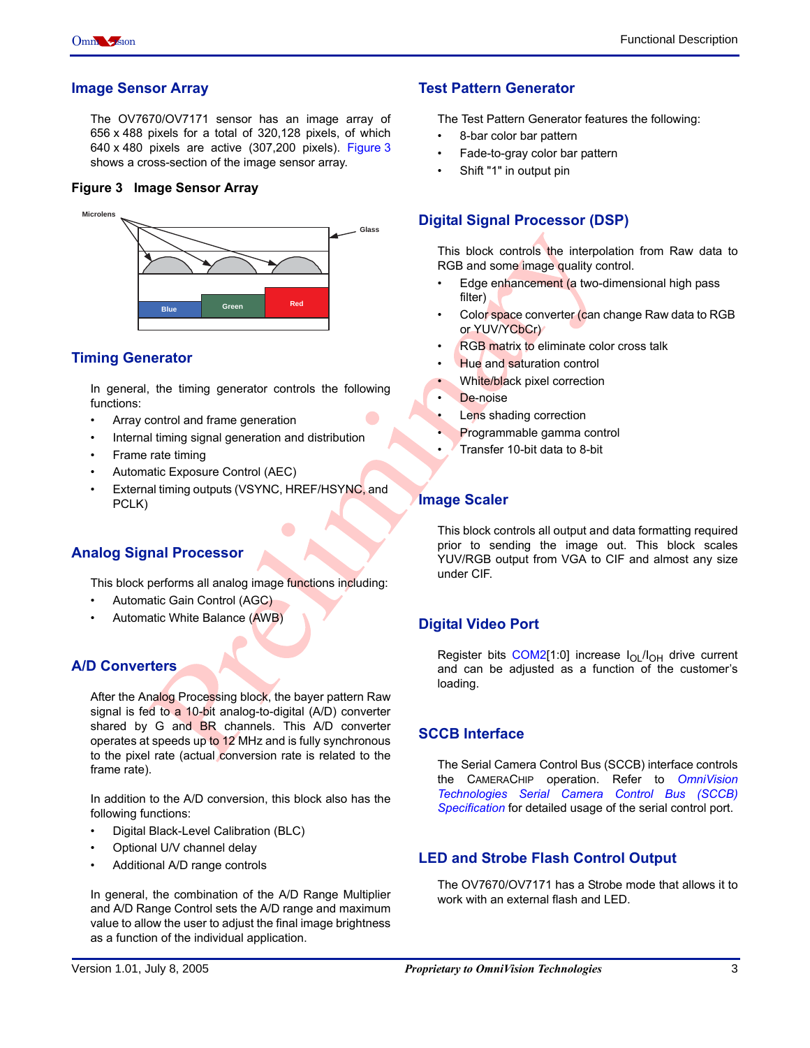#### <span id="page-2-0"></span>**Image Sensor Array**

The OV7670/OV7171 sensor has an image array of 656 x 488 pixels for a total of 320,128 pixels, of which 640 x 480 pixels are active (307,200 pixels). [Figure 3](#page-2-10) shows a cross-section of the image sensor array.

#### <span id="page-2-10"></span>**Figure 3 Image Sensor Array**



#### <span id="page-2-5"></span>**Timing Generator**

In general, the timing generator controls the following functions:

- Array control and frame generation
- Internal timing signal generation and distribution
- Frame rate timing
- Automatic Exposure Control (AEC)
- External timing outputs (VSYNC, HREF/HSYNC, and PCLK)

#### <span id="page-2-1"></span>**Analog Signal Processor**

This block performs all analog image functions including:

- Automatic Gain Control (AGC)
- Automatic White Balance (AWB)

### <span id="page-2-2"></span>**A/D Converters**

After the Analog Processing block, the bayer pattern Raw signal is fed to a 10-bit analog-to-digital (A/D) converter shared by G and BR channels. This A/D converter operates at speeds up to 12 MHz and is fully synchronous to the pixel rate (actual conversion rate is related to the frame rate).

In addition to the A/D conversion, this block also has the following functions:

- Digital Black-Level Calibration (BLC)
- Optional U/V channel delay
- Additional A/D range controls

In general, the combination of the A/D Range Multiplier and A/D Range Control sets the A/D range and maximum value to allow the user to adjust the final image brightness as a function of the individual application.

#### <span id="page-2-9"></span>**Test Pattern Generator**

The Test Pattern Generator features the following:

- 8-bar color bar pattern
- Fade-to-gray color bar pattern
- Shift "1" in output pin

#### <span id="page-2-3"></span>**Digital Signal Processor (DSP)**

This block controls the interpolation from Raw data to RGB and some image quality control.

- Edge enhancement (a two-dimensional high pass filter)
- Color space converter (can change Raw data to RGB or YUV/YCbCr)
- RGB matrix to eliminate color cross talk
- Hue and saturation control
- White/black pixel correction
- De-noise
	- Lens shading correction
- Programmable gamma control
- Transfer 10-bit data to 8-bit

#### <span id="page-2-4"></span>**Image Scaler**

This block controls all output and data formatting required prior to sending the image out. This block scales YUV/RGB output from VGA to CIF and almost any size under CIF.

#### <span id="page-2-7"></span>**Digital Video Port**

Register bits  $COM2[1:0]$  $COM2[1:0]$  increase  $I_{OL}/I_{OH}$  drive current and can be adjusted as a function of the customer's loading.

#### <span id="page-2-6"></span>**SCCB Interface**

The Serial Camera Control Bus (SCCB) interface controls the CAMERACHIP operation. Refer to *OmniVision Technologies Serial Camera Control Bus (SCCB) Specification* for detailed usage of the serial control port.

#### <span id="page-2-8"></span>**LED and Strobe Flash Control Output**

The OV7670/OV7171 has a Strobe mode that allows it to work with an external flash and LED.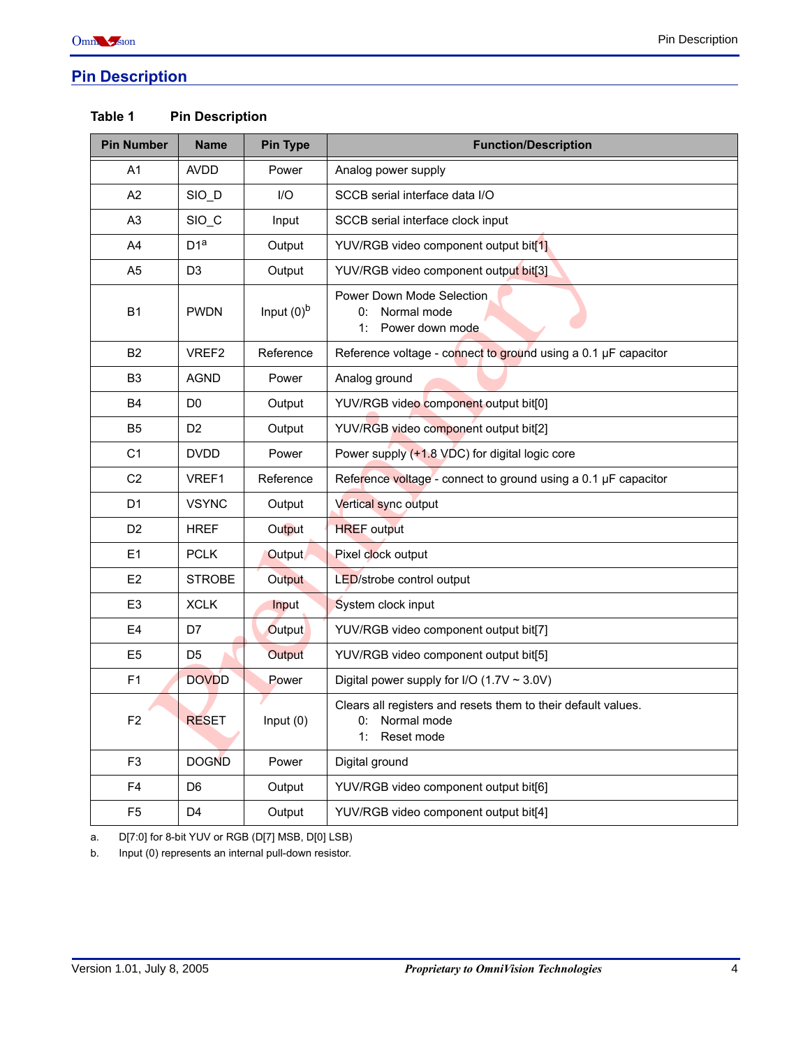# **Pin Description**

| <b>Pin Number</b> | <b>Name</b>     | <b>Pin Type</b> | <b>Function/Description</b>                                                                      |
|-------------------|-----------------|-----------------|--------------------------------------------------------------------------------------------------|
| A <sub>1</sub>    | <b>AVDD</b>     | Power           | Analog power supply                                                                              |
| A2                | SIO_D           | I/O             | SCCB serial interface data I/O                                                                   |
| A <sub>3</sub>    | SIO_C           | Input           | SCCB serial interface clock input                                                                |
| A4                | D1 <sup>a</sup> | Output          | YUV/RGB video component output bit <sup>[1]</sup>                                                |
| A <sub>5</sub>    | D <sub>3</sub>  | Output          | YUV/RGB video component output bit[3]                                                            |
| <b>B1</b>         | <b>PWDN</b>     | Input $(0)^b$   | Power Down Mode Selection<br>Normal mode<br>0:<br>Power down mode<br>1:                          |
| <b>B2</b>         | VREF2           | Reference       | Reference voltage - connect to ground using a 0.1 $\mu$ F capacitor                              |
| B <sub>3</sub>    | <b>AGND</b>     | Power           | Analog ground                                                                                    |
| <b>B4</b>         | D <sub>0</sub>  | Output          | YUV/RGB video component output bit[0]                                                            |
| B <sub>5</sub>    | D <sub>2</sub>  | Output          | YUV/RGB video component output bit[2]                                                            |
| C <sub>1</sub>    | <b>DVDD</b>     | Power           | Power supply (+1.8 VDC) for digital logic core                                                   |
| C <sub>2</sub>    | VREF1           | Reference       | Reference voltage - connect to ground using a $0.1 \mu F$ capacitor                              |
| D <sub>1</sub>    | <b>VSYNC</b>    | Output          | Vertical sync output                                                                             |
| D <sub>2</sub>    | <b>HREF</b>     | Output          | <b>HREF</b> output                                                                               |
| E <sub>1</sub>    | <b>PCLK</b>     | <b>Output</b>   | Pixel clock output                                                                               |
| E <sub>2</sub>    | <b>STROBE</b>   | Output          | LED/strobe control output                                                                        |
| E <sub>3</sub>    | <b>XCLK</b>     | Input           | System clock input                                                                               |
| E <sub>4</sub>    | D7              | Output          | YUV/RGB video component output bit[7]                                                            |
| E <sub>5</sub>    | D <sub>5</sub>  | Output          | YUV/RGB video component output bit[5]                                                            |
| F1                | <b>DOVDD</b>    | Power           | Digital power supply for I/O $(1.7V \sim 3.0V)$                                                  |
| F <sub>2</sub>    | <b>RESET</b>    | Input (0)       | Clears all registers and resets them to their default values.<br>0: Normal mode<br>1: Reset mode |
| F <sub>3</sub>    | <b>DOGND</b>    | Power           | Digital ground                                                                                   |
| F4                | D <sub>6</sub>  | Output          | YUV/RGB video component output bit[6]                                                            |
| F <sub>5</sub>    | D <sub>4</sub>  | Output          | YUV/RGB video component output bit[4]                                                            |

## **Table 1 Pin Description**

a. D[7:0] for 8-bit YUV or RGB (D[7] MSB, D[0] LSB)

b. Input (0) represents an internal pull-down resistor.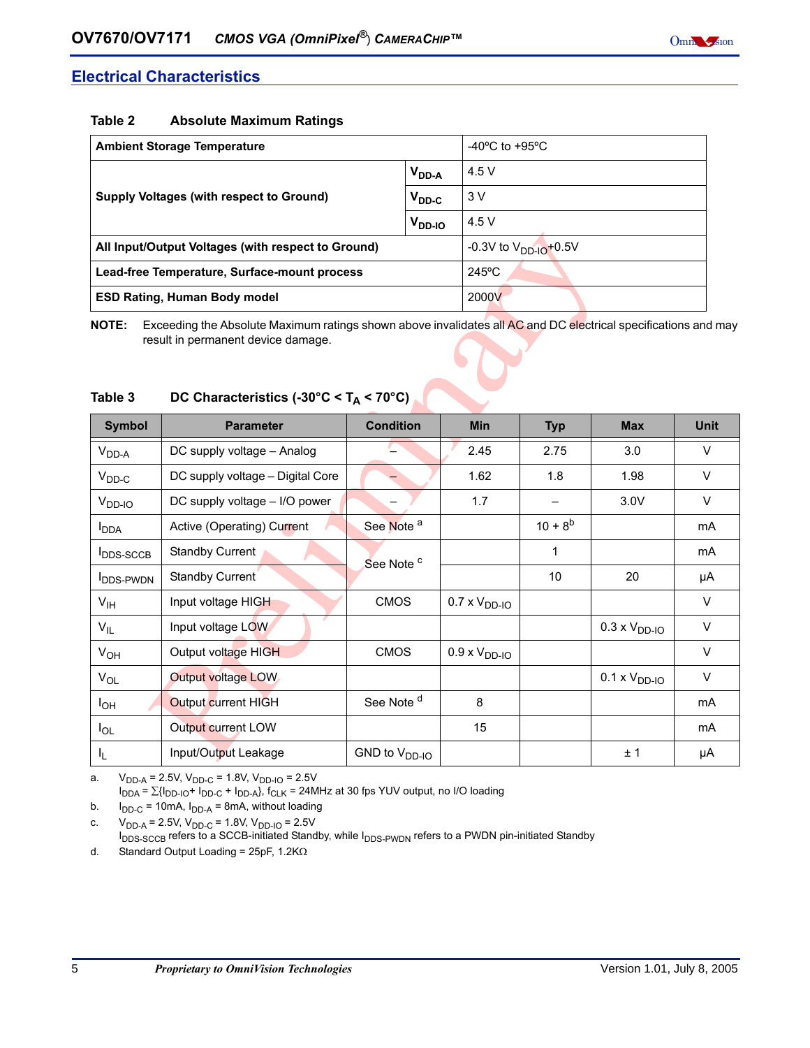

### **Electrical Characteristics**

#### **Table 2 Absolute Maximum Ratings**

| <b>Ambient Storage Temperature</b>                 | $-40^{\circ}$ C to $+95^{\circ}$ C |       |
|----------------------------------------------------|------------------------------------|-------|
|                                                    | $V_{DD-A}$                         | 4.5 V |
| Supply Voltages (with respect to Ground)           | $V_{DD-C}$                         | 3V    |
|                                                    | $VDD-IO$                           | 4.5 V |
| All Input/Output Voltages (with respect to Ground) | $-0.3V$ to $V_{DD-IO}$ +0.5V       |       |
| Lead-free Temperature, Surface-mount process       | $245^{\circ}$ C                    |       |
| <b>ESD Rating, Human Body model</b>                | 2000V                              |       |

**NOTE:** Exceeding the Absolute Maximum ratings shown above invalidates all AC and DC electrical specifications and may result in permanent device damage.

# Table 3 DC Characteristics (-30°C < T<sub>A</sub> < 70°C)

| <b>Symbol</b>           | <b>Parameter</b>                 | <b>Condition</b>          | Min                    | <b>Typ</b>   | <b>Max</b>             | <b>Unit</b> |
|-------------------------|----------------------------------|---------------------------|------------------------|--------------|------------------------|-------------|
| $V_{DD-A}$              | DC supply voltage - Analog       |                           | 2.45                   | 2.75         | 3.0                    | $\vee$      |
| $V_{DD-C}$              | DC supply voltage - Digital Core |                           | 1.62                   | 1.8          | 1.98                   | $\vee$      |
| $V_{DD-IO}$             | DC supply voltage - I/O power    |                           | 1.7                    |              | 3.0V                   | $\vee$      |
| <b>I</b> <sub>DDA</sub> | Active (Operating) Current       | See Note <sup>a</sup>     |                        | $10 + 8^{b}$ |                        | mA          |
| <b>IDDS-SCCB</b>        | <b>Standby Current</b>           | See Note <sup>c</sup>     |                        | 1            |                        | mA          |
| <b>IDDS-PWDN</b>        | Standby Current                  |                           |                        | 10           | 20                     | μA          |
| $V_{\text{IH}}$         | Input voltage HIGH               | <b>CMOS</b>               | $0.7 \times V_{DD-IO}$ |              |                        | V           |
| $V_{IL}$                | Input voltage LOW                |                           |                        |              | $0.3 \times V_{DD-IO}$ | $\vee$      |
| $V_{OH}$                | Output voltage HIGH              | <b>CMOS</b>               | $0.9 \times V_{DD-IO}$ |              |                        | $\vee$      |
| $V_{OL}$                | Output voltage LOW               |                           |                        |              | $0.1 \times V_{DD-IO}$ | $\vee$      |
| $I_{OH}$                | Output current HIGH              | See Note <sup>d</sup>     | 8                      |              |                        | mA          |
| $I_{OL}$                | Output current LOW               |                           | 15                     |              |                        | mA          |
| I <sub>L</sub>          | Input/Output Leakage             | GND to V <sub>DD-IO</sub> |                        |              | ±1                     | μA          |

a. V<sub>DD-A</sub> = 2.5V, V<sub>DD-C</sub> = 1.8V, V<sub>DD-IO</sub> = 2.5V

I<sub>DDA</sub> = ∑{I<sub>DD-IO</sub>+ I<sub>DD-C</sub> + I<sub>DD-A</sub>}, f<sub>CLK</sub> = 24MHz at 30 fps YUV output, no I/O loading

b.  $I_{DD-C} = 10 \text{mA}, I_{DD-A} = 8 \text{mA},$  without loading

c.  $V_{DD-A} = 2.5V$ ,  $V_{DD-C} = 1.8V$ ,  $V_{DD-IO} = 2.5V$ 

I<sub>DDS-SCCB</sub> refers to a SCCB-initiated Standby, while I<sub>DDS-PWDN</sub> refers to a PWDN pin-initiated Standby

d. Standard Output Loading = 25pF, 1.2KΩ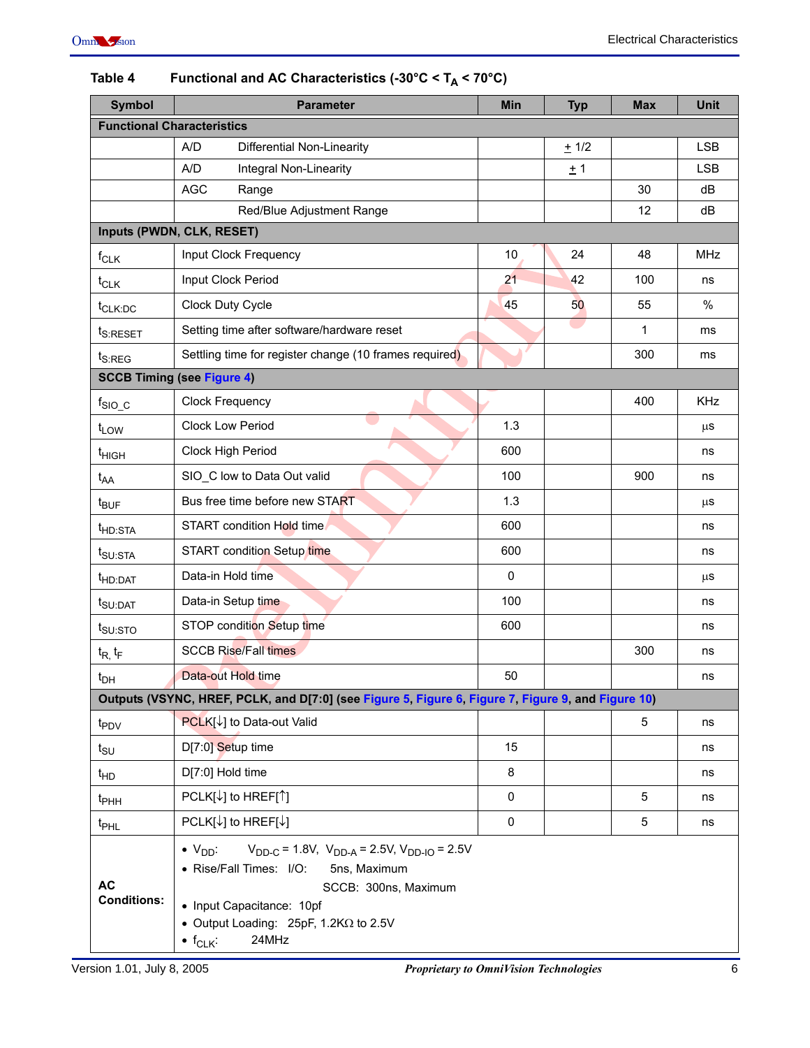| <b>Symbol</b>                     | <b>Parameter</b>                                                                                                                                                                                                                                                | <b>Min</b>  | <b>Typ</b> | <b>Max</b> | <b>Unit</b> |  |  |  |
|-----------------------------------|-----------------------------------------------------------------------------------------------------------------------------------------------------------------------------------------------------------------------------------------------------------------|-------------|------------|------------|-------------|--|--|--|
| <b>Functional Characteristics</b> |                                                                                                                                                                                                                                                                 |             |            |            |             |  |  |  |
|                                   | A/D<br><b>Differential Non-Linearity</b>                                                                                                                                                                                                                        |             | $±$ 1/2    |            | <b>LSB</b>  |  |  |  |
|                                   | A/D<br>Integral Non-Linearity                                                                                                                                                                                                                                   |             | ±1         |            | <b>LSB</b>  |  |  |  |
|                                   | <b>AGC</b><br>Range                                                                                                                                                                                                                                             |             |            | 30         | dB          |  |  |  |
|                                   | Red/Blue Adjustment Range                                                                                                                                                                                                                                       |             |            | 12         | dB          |  |  |  |
|                                   | Inputs (PWDN, CLK, RESET)                                                                                                                                                                                                                                       |             |            |            |             |  |  |  |
| $f_{CLK}$                         | Input Clock Frequency                                                                                                                                                                                                                                           | 10          | 24         | 48         | <b>MHz</b>  |  |  |  |
| $t_{CLK}$                         | Input Clock Period                                                                                                                                                                                                                                              | 21          | 42         | 100        | ns          |  |  |  |
| t <sub>CLK:DC</sub>               | Clock Duty Cycle                                                                                                                                                                                                                                                | 45          | 50         | 55         | %           |  |  |  |
| t <sub>S:RESET</sub>              | Setting time after software/hardware reset                                                                                                                                                                                                                      |             |            | 1          | ms          |  |  |  |
| $t_{S:REG}$                       | Settling time for register change (10 frames required)                                                                                                                                                                                                          |             |            | 300        | ms          |  |  |  |
|                                   | <b>SCCB Timing (see Figure 4)</b>                                                                                                                                                                                                                               |             |            |            |             |  |  |  |
| $f_{\text{SIO\_C}}$               | <b>Clock Frequency</b>                                                                                                                                                                                                                                          |             |            | 400        | <b>KHz</b>  |  |  |  |
| t <sub>LOW</sub>                  | <b>Clock Low Period</b>                                                                                                                                                                                                                                         | 1.3         |            |            | $\mu$ S     |  |  |  |
| <sup>t</sup> нісн                 | Clock High Period                                                                                                                                                                                                                                               | 600         |            |            | ns          |  |  |  |
| t <sub>AA</sub>                   | SIO_C low to Data Out valid                                                                                                                                                                                                                                     | 100         |            | 900        | ns          |  |  |  |
| $t_{\text{BUF}}$                  | Bus free time before new START                                                                                                                                                                                                                                  | 1.3         |            |            | μS          |  |  |  |
| t <sub>HD:STA</sub>               | START condition Hold time                                                                                                                                                                                                                                       | 600         |            |            | ns          |  |  |  |
| t <sub>SU:STA</sub>               | <b>START</b> condition Setup time                                                                                                                                                                                                                               | 600         |            |            | ns          |  |  |  |
| t <sub>HD:DAT</sub>               | Data-in Hold time                                                                                                                                                                                                                                               | $\mathbf 0$ |            |            | μS          |  |  |  |
| t <sub>SU:DAT</sub>               | Data-in Setup time                                                                                                                                                                                                                                              | 100         |            |            | ns          |  |  |  |
| t <sub>SU:STO</sub>               | STOP condition Setup time                                                                                                                                                                                                                                       | 600         |            |            | ns          |  |  |  |
| $t_R, t_F$                        | <b>SCCB Rise/Fall times</b>                                                                                                                                                                                                                                     |             |            | 300        | ns          |  |  |  |
| $t_{DH}$                          | Data-out Hold time                                                                                                                                                                                                                                              | 50          |            |            | ns          |  |  |  |
|                                   | Outputs (VSYNC, HREF, PCLK, and D[7:0] (see Figure 5, Figure 6, Figure 7, Figure 9, and Figure 10)                                                                                                                                                              |             |            |            |             |  |  |  |
| t <sub>PDV</sub>                  | <b>PCLK[↓]</b> to Data-out Valid                                                                                                                                                                                                                                |             |            | 5          | ns          |  |  |  |
| $t_{\scriptstyle\text{SU}}$       | D[7:0] Setup time                                                                                                                                                                                                                                               | 15          |            |            | ns          |  |  |  |
| t <sub>HD</sub>                   | D[7:0] Hold time                                                                                                                                                                                                                                                | 8           |            |            | ns          |  |  |  |
| t <sub>РНН</sub>                  | PCLK[↓] to HREF[^]                                                                                                                                                                                                                                              | $\mathbf 0$ |            | 5          | ns          |  |  |  |
| t <sub>PHL</sub>                  | $PCLK[\downarrow]$ to HREF[ $\downarrow$ ]                                                                                                                                                                                                                      | $\pmb{0}$   |            | 5          | ns          |  |  |  |
| <b>AC</b><br><b>Conditions:</b>   | • $V_{DD}$ : $V_{DD-C}$ = 1.8V, $V_{DD-A}$ = 2.5V, $V_{DD-IO}$ = 2.5V<br>• Rise/Fall Times: I/O:<br>5ns, Maximum<br>SCCB: 300ns, Maximum<br>• Input Capacitance: 10pf<br>• Output Loading: 25pF, 1.2K $\Omega$ to 2.5V<br>24MHz<br>$\bullet$ f <sub>CLK</sub> : |             |            |            |             |  |  |  |

# Table 4 Functional and AC Characteristics (-30°C < T<sub>A</sub> < 70°C)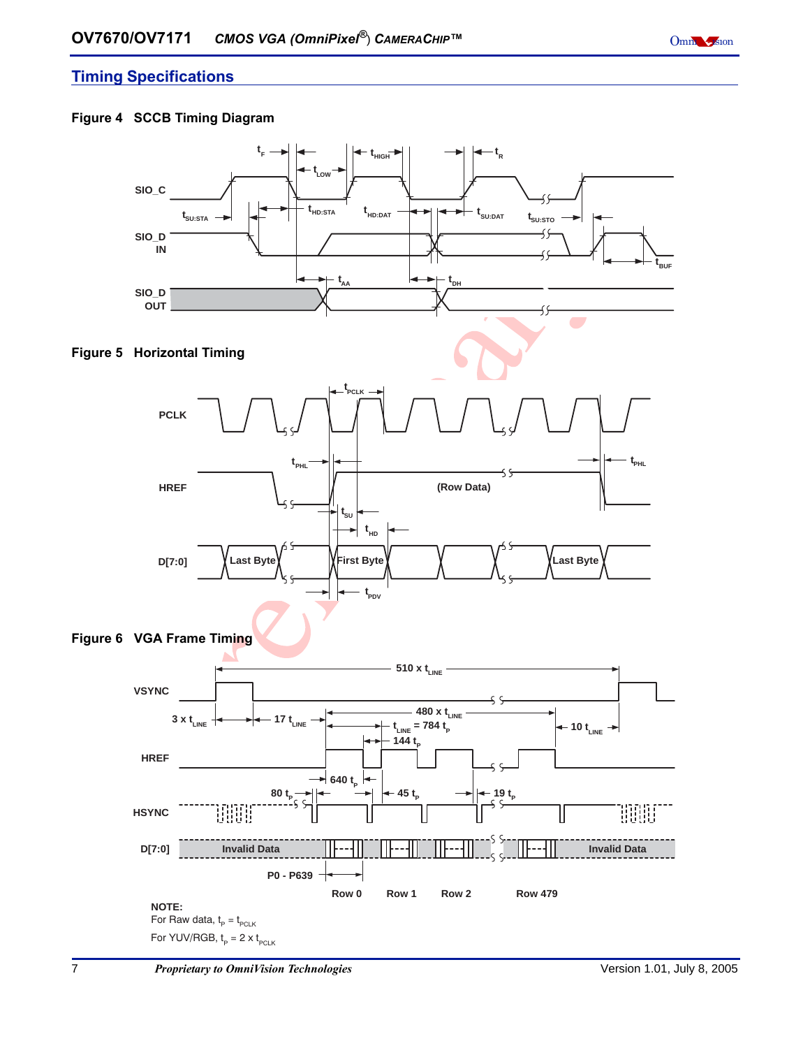

# **Timing Specifications**

## <span id="page-6-0"></span>**Figure 4 SCCB Timing Diagram**

<span id="page-6-2"></span><span id="page-6-1"></span>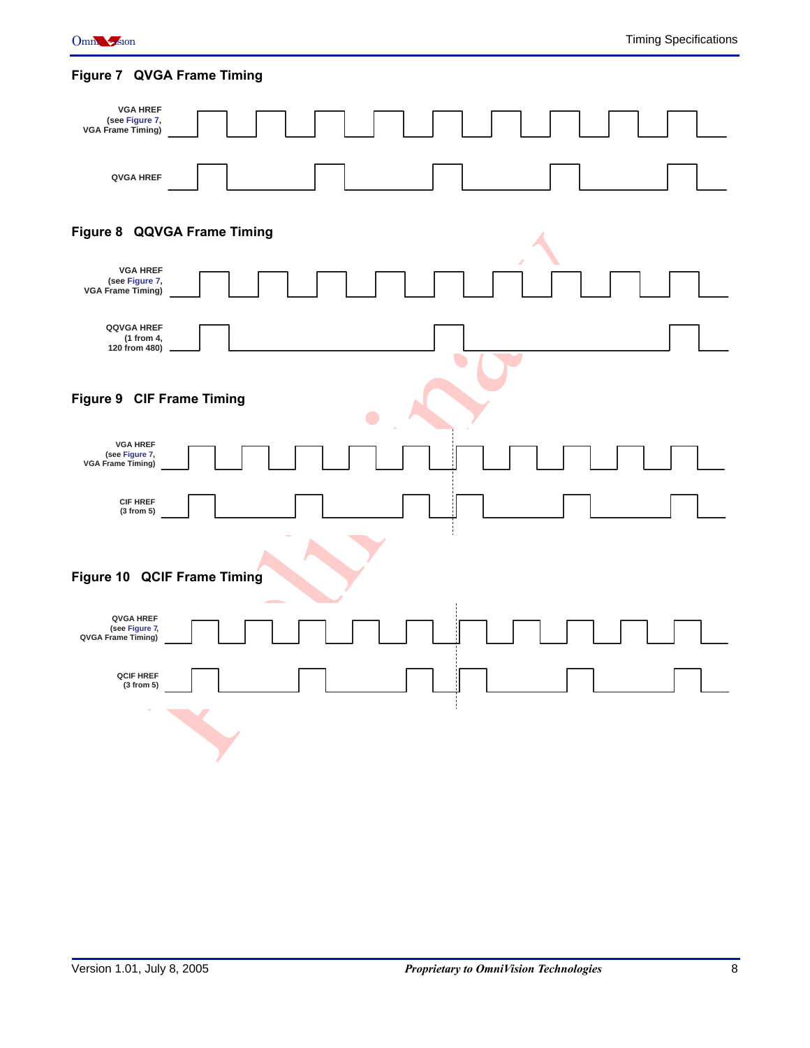## <span id="page-7-0"></span>**Figure 7 QVGA Frame Timing**

<span id="page-7-2"></span><span id="page-7-1"></span>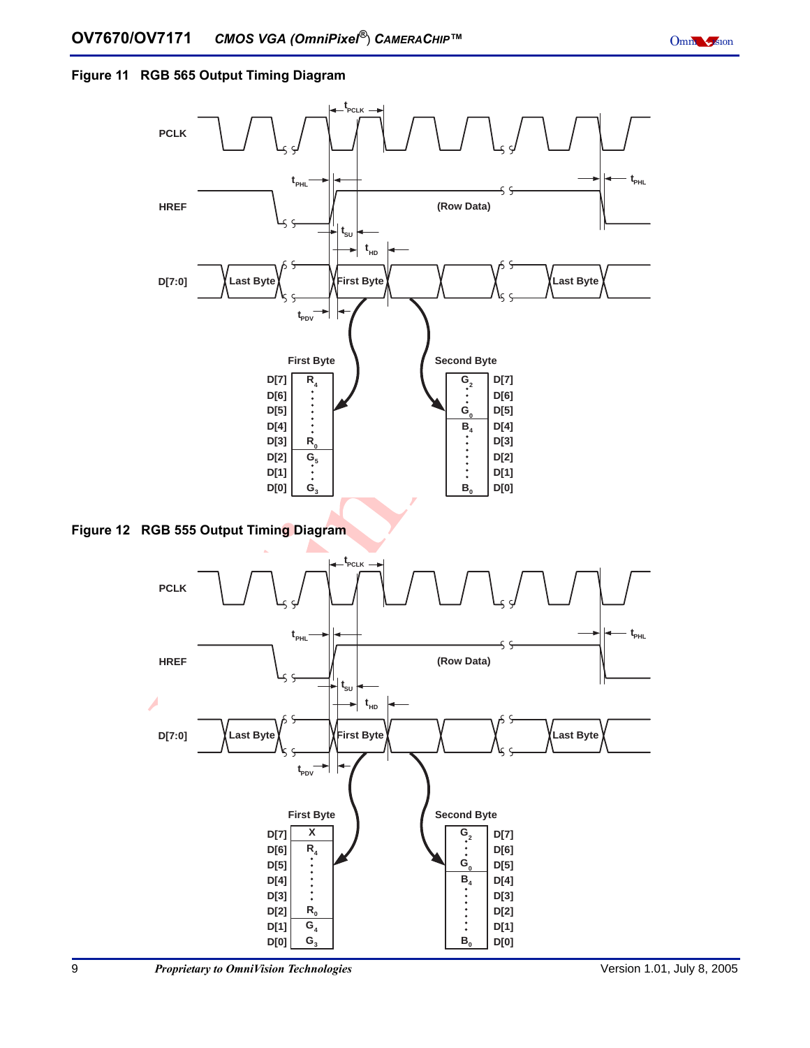## **Figure 11 RGB 565 Output Timing Diagram**





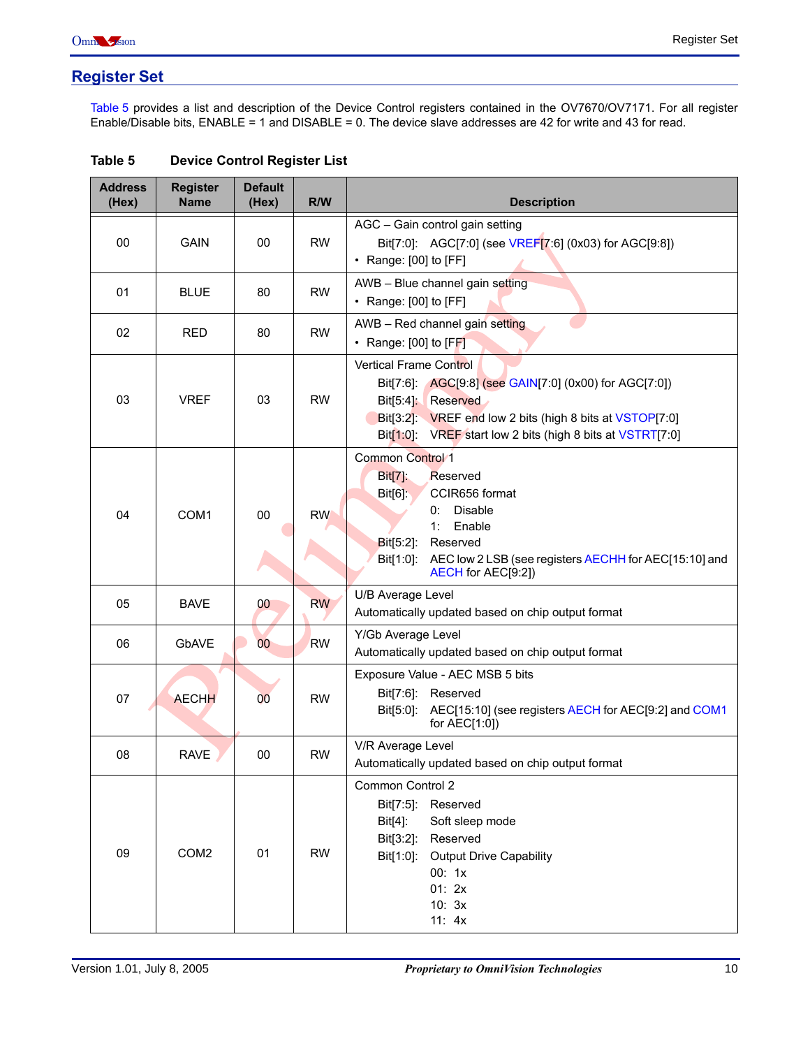## **Register Set**

[Table 5](#page-9-1) provides a list and description of the Device Control registers contained in the OV7670/OV7171. For all register Enable/Disable bits, ENABLE = 1 and DISABLE = 0. The device slave addresses are 42 for write and 43 for read.

<span id="page-9-5"></span><span id="page-9-4"></span><span id="page-9-3"></span><span id="page-9-2"></span><span id="page-9-0"></span>

| <b>Address</b><br>(Hex) | <b>Register</b><br><b>Name</b> | <b>Default</b><br>(Hex) | R/W       | <b>Description</b>                                                                                                                                                                                                                                 |
|-------------------------|--------------------------------|-------------------------|-----------|----------------------------------------------------------------------------------------------------------------------------------------------------------------------------------------------------------------------------------------------------|
| 00                      | <b>GAIN</b>                    | 00                      | <b>RW</b> | AGC - Gain control gain setting<br>Bit[7:0]: AGC[7:0] (see VREF[7:6] (0x03) for AGC[9:8])<br>• Range: [00] to [FF]                                                                                                                                 |
| 01                      | <b>BLUE</b>                    | 80                      | <b>RW</b> | AWB - Blue channel gain setting<br>• Range: [00] to [FF]                                                                                                                                                                                           |
| 02                      | <b>RED</b>                     | 80                      | <b>RW</b> | AWB - Red channel gain setting<br>• Range: $[00]$ to $[FF]$                                                                                                                                                                                        |
| 03                      | <b>VREF</b>                    | 03                      | <b>RW</b> | Vertical Frame Control<br>Bit[7:6]: AGC[9:8] (see GAIN[7:0] (0x00) for AGC[7:0])<br>$Bit[5:4]$ :<br>Reserved<br>Bit[3:2]: VREF end low 2 bits (high 8 bits at VSTOP[7:0]<br>Bit <sup>[1:0]:</sup> VREF start low 2 bits (high 8 bits at VSTRT[7:0] |
| 04                      | COM1                           | 00                      | <b>RW</b> | <b>Common Control 1</b><br><b>Bit[7]:</b><br>Reserved<br>CCIR656 format<br>Bit[6]:<br><b>Disable</b><br>0:<br>Enable<br>1:<br>Bit[5:2]:<br>Reserved<br>Bit[1:0]:<br>AEC low 2 LSB (see registers AECHH for AEC[15:10] and<br>AECH for AEC[9:2])    |
| 05                      | <b>BAVE</b>                    | 00                      | <b>RW</b> | U/B Average Level<br>Automatically updated based on chip output format                                                                                                                                                                             |
| 06                      | <b>GbAVE</b>                   | 00                      | <b>RW</b> | Y/Gb Average Level<br>Automatically updated based on chip output format                                                                                                                                                                            |
| 07                      | <b>AECHH</b>                   | 0 <sup>0</sup>          | <b>RW</b> | Exposure Value - AEC MSB 5 bits<br>Bit[7:6]: Reserved<br>Bit[5:0]:<br>AEC[15:10] (see registers AECH for AEC[9:2] and COM1<br>for AEC[1:0])                                                                                                        |
| 08                      | <b>RAVE</b>                    | 00                      | <b>RW</b> | V/R Average Level<br>Automatically updated based on chip output format                                                                                                                                                                             |
| 09                      | COM <sub>2</sub>               | 01                      | <b>RW</b> | Common Control 2<br>Bit[7:5]: Reserved<br>Bit[4]:<br>Soft sleep mode<br>Bit[3:2]:<br>Reserved<br>Bit[1:0]:<br><b>Output Drive Capability</b><br>00: 1x<br>01:2x<br>10:3x<br>11: $4x$                                                               |

<span id="page-9-1"></span>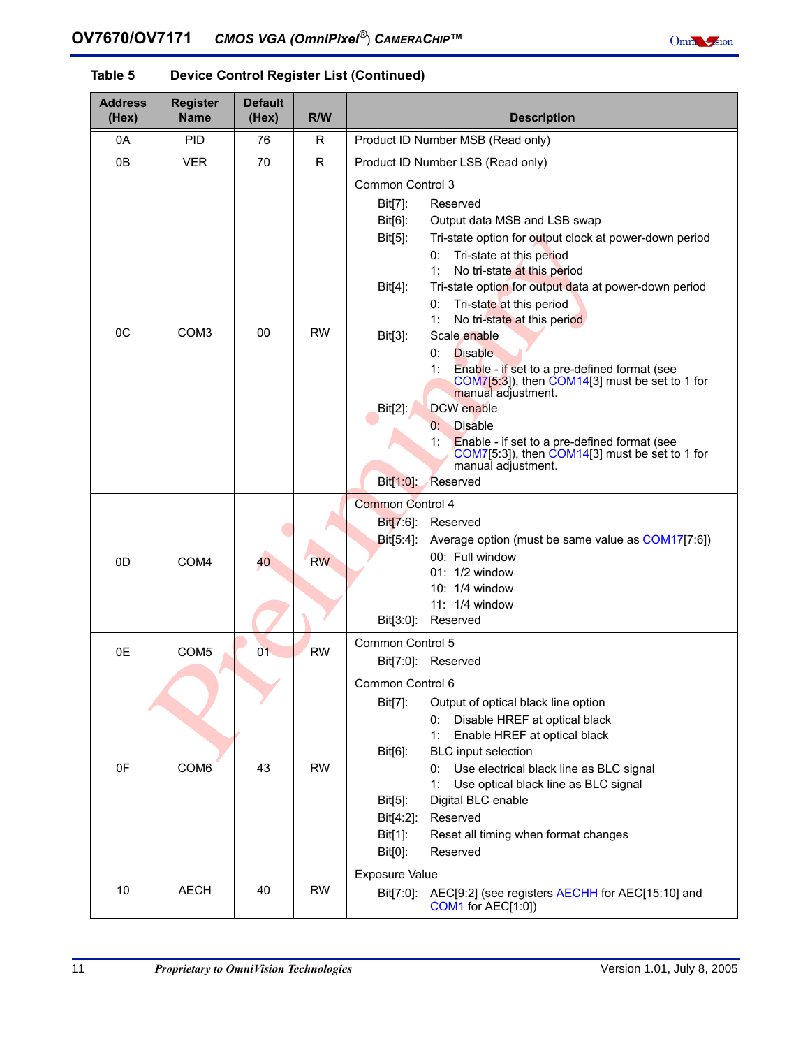

#### <span id="page-10-2"></span><span id="page-10-1"></span><span id="page-10-0"></span>0A PID 76 R Product ID Number MSB (Read only) 0B | VER | 70 | R | Product ID Number LSB (Read only) 0C COM3 00 RW Common Control 3 Bit[7]: Reserved Bit[6]: Output data MSB and LSB swap Bit[5]: Tri-state option for output clock at power-down period 0: Tri-state at this period 1: No tri-state at this period Bit[4]: Tri-state option for output data at power-down period 0: Tri-state at this period 1: No tri-state at this period Bit[3]: Scale enable 0: Disable 1: Enable - if set to a pre-defined format (see [COM7](#page-11-0)[5:3]), then [COM14\[](#page-16-0)3] must be set to 1 for manual adjustment. Bit[2]: DCW enable 0: Disable 1: Enable - if set to a pre-defined format (see  $COM7[5:3]$  $COM7[5:3]$ , then  $COM14[3]$  $COM14[3]$  must be set to 1 for manual adjustment. Bit<sup>[1:0]:</sup> Reserved 0D | COM4 | 40 | RW Common Control 4 Bit<sup>[7</sup>:6]: Reserved Bit[5:4]: Average option (must be same value as [COM17\[](#page-17-0)7:6]) 00: Full window 01: 1/2 window 10: 1/4 window 11: 1/4 window Bit[3:0]: Reserved 0E COM5 01 RW Common Control 5 Bit[7:0]: Reserved 0F COM6 43 RW Common Control 6 Bit[7]: Output of optical black line option 0: Disable HREF at optical black 1: Enable HREF at optical black Bit[6]: BLC input selection 0: Use electrical black line as BLC signal 1: Use optical black line as BLC signal Bit[5]: Digital BLC enable Bit[4:2]: Reserved Bit[1]: Reset all timing when format changes Bit[0]: Reserved 10 | AECH | 40 | RW Exposure Value Bit[7:0]: AEC[9:2] (see registers [AECHH](#page-9-2) for AEC[15:10] and [COM1](#page-9-3) for AEC[1:0]) **Address (Hex) Register Name Default (Hex) R/W Description**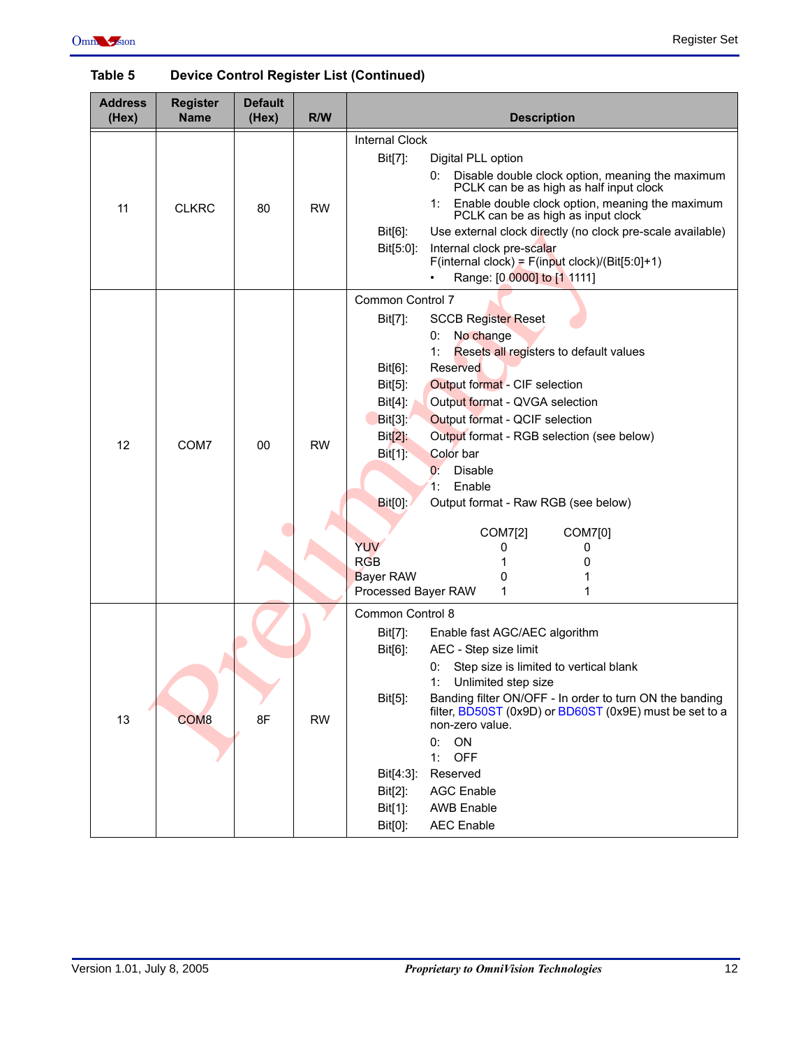<span id="page-11-1"></span><span id="page-11-0"></span>

| <b>Address</b><br>(Hex) | <b>Register</b><br><b>Name</b> | <b>Default</b><br>(Hex) | R/W       | <b>Description</b>                                                                                                                                                                                                                                                                                                                                                                                                                                                                                                                                                                              |
|-------------------------|--------------------------------|-------------------------|-----------|-------------------------------------------------------------------------------------------------------------------------------------------------------------------------------------------------------------------------------------------------------------------------------------------------------------------------------------------------------------------------------------------------------------------------------------------------------------------------------------------------------------------------------------------------------------------------------------------------|
| 11                      | <b>CLKRC</b>                   | 80                      | <b>RW</b> | <b>Internal Clock</b><br>Bit[7]:<br>Digital PLL option<br>Disable double clock option, meaning the maximum<br>0:<br>PCLK can be as high as half input clock<br>Enable double clock option, meaning the maximum<br>1:<br>PCLK can be as high as input clock<br>Use external clock directly (no clock pre-scale available)<br>Bit[6]:<br>Internal clock pre-scalar<br>$Bit[5:0]$ :<br>F(internal clock) = $F$ (input clock)/(Bit[5:0]+1)<br>Range: [0.0000] to [1.1111]                                                                                                                           |
| 12                      | COM7                           | 00                      | <b>RW</b> | Common Control 7<br>Bit[7]:<br><b>SCCB Register Reset</b><br>No change<br>0:<br>Resets all registers to default values<br>1:<br>Reserved<br>Bit[6]:<br>Output format - CIF selection<br>Bit[5]:<br>Output format - QVGA selection<br>Bit[4]:<br>Bit[3]:<br>Output format - QCIF selection<br>$Bit[2]$ :<br>Output format - RGB selection (see below)<br>Color bar<br>Bit[1]:<br>0:<br>Disable<br>1:<br>Enable<br><b>Bit[0]:</b><br>Output format - Raw RGB (see below)<br>COM7[2]<br>COM7[0]<br>YUV<br>0<br>0<br><b>RGB</b><br>1<br>0<br><b>Bayer RAW</b><br>0<br>Processed Bayer RAW<br>1<br>1 |
| 13                      | COM <sub>8</sub>               | 8F                      | <b>RW</b> | Common Control 8<br>Bit[7]:<br>Enable fast AGC/AEC algorithm<br>$Bit[6]$ :<br>AEC - Step size limit<br>Step size is limited to vertical blank<br>0:<br>Unlimited step size<br>1:<br>Banding filter ON/OFF - In order to turn ON the banding<br>$Bit[5]$ :<br>filter, BD50ST (0x9D) or BD60ST (0x9E) must be set to a<br>non-zero value.<br>ON<br>0:<br>1:<br><b>OFF</b><br>Reserved<br>Bit[4:3]:<br>Bit[2]:<br><b>AGC Enable</b><br>Bit[1]:<br><b>AWB Enable</b><br><b>AEC Enable</b><br>Bit[0]:                                                                                                |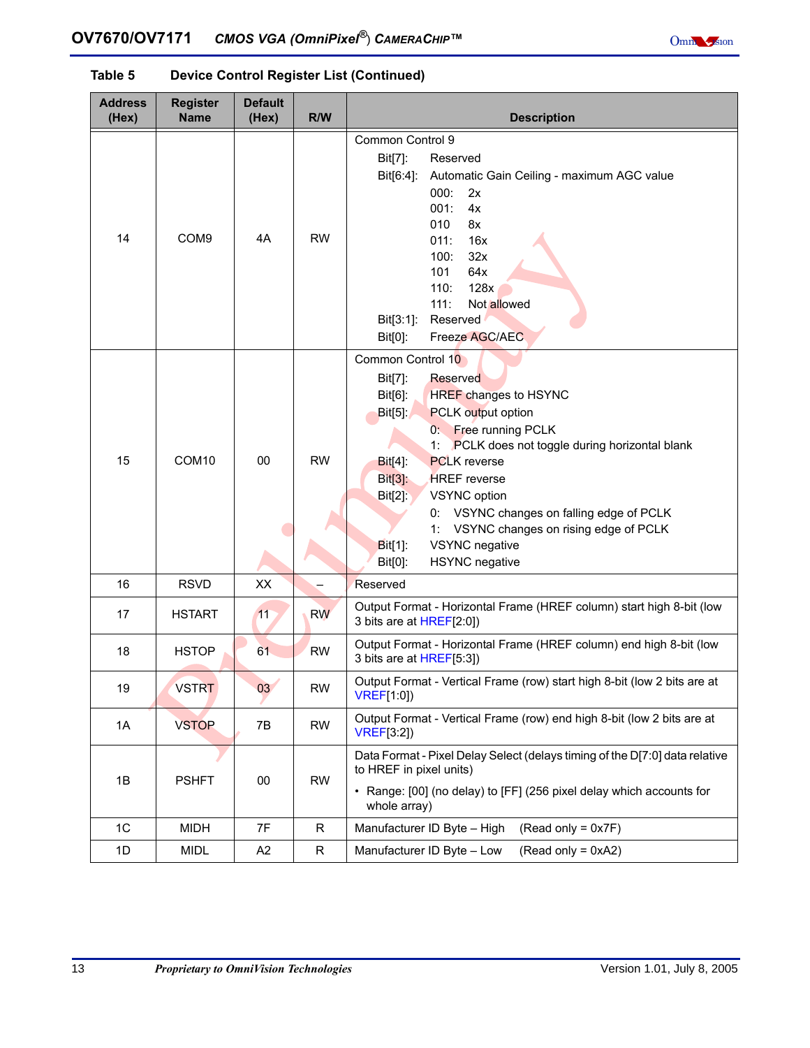

<span id="page-12-3"></span><span id="page-12-2"></span><span id="page-12-1"></span><span id="page-12-0"></span>

| <b>Address</b><br>(Hex) | <b>Register</b><br><b>Name</b> | <b>Default</b><br>(Hex) | R/W       | <b>Description</b>                                                                                                                                                                                                                                                                                                                                                                                                                                                               |  |  |
|-------------------------|--------------------------------|-------------------------|-----------|----------------------------------------------------------------------------------------------------------------------------------------------------------------------------------------------------------------------------------------------------------------------------------------------------------------------------------------------------------------------------------------------------------------------------------------------------------------------------------|--|--|
| 14                      | COM <sub>9</sub>               | 4A                      | <b>RW</b> | Common Control 9<br>Bit[7]:<br>Reserved<br>Automatic Gain Ceiling - maximum AGC value<br>$Bit[6:4]$ :<br>000:<br>2x<br>001:<br>4x<br>010<br>8x<br>011:<br>16x<br>32x<br>100:<br>64x<br>101<br>128x<br>110:<br>111:<br>Not allowed<br>Reserved<br>$Bit[3:1]$ :<br>Bit[0]:<br>Freeze AGC/AEC                                                                                                                                                                                       |  |  |
| 15                      | COM <sub>10</sub>              | 00                      | <b>RW</b> | Common Control 10<br>Bit[7]:<br>Reserved<br>Bit[6]:<br><b>HREF changes to HSYNC</b><br>Bit[5]:<br><b>PCLK</b> output option<br>0: Free running PCLK<br>PCLK does not toggle during horizontal blank<br>1:<br><b>PCLK</b> reverse<br>Bit[4]:<br>$Bit[3]$ :<br><b>HREF</b> reverse<br><b>VSYNC</b> option<br>Bit[2]:<br>0: VSYNC changes on falling edge of PCLK<br>VSYNC changes on rising edge of PCLK<br>1:<br>VSYNC negative<br>$Bit[1]$ :<br>Bit[0]:<br><b>HSYNC</b> negative |  |  |
| 16                      | <b>RSVD</b>                    | XX                      |           | Reserved                                                                                                                                                                                                                                                                                                                                                                                                                                                                         |  |  |
| 17                      | <b>HSTART</b>                  | 11                      | <b>RW</b> | Output Format - Horizontal Frame (HREF column) start high 8-bit (low<br>3 bits are at HREF[2:0])                                                                                                                                                                                                                                                                                                                                                                                 |  |  |
| 18                      | <b>HSTOP</b>                   | 61                      | <b>RW</b> | Output Format - Horizontal Frame (HREF column) end high 8-bit (low<br>3 bits are at HREF[5:3])                                                                                                                                                                                                                                                                                                                                                                                   |  |  |
| 19                      | <b>VSTRT</b>                   | 03                      | <b>RW</b> | Output Format - Vertical Frame (row) start high 8-bit (low 2 bits are at<br><b>VREF[1:0])</b>                                                                                                                                                                                                                                                                                                                                                                                    |  |  |
| 1A                      | <b>VSTOP</b>                   | 7B                      | <b>RW</b> | Output Format - Vertical Frame (row) end high 8-bit (low 2 bits are at<br><b>VREF[3:2])</b>                                                                                                                                                                                                                                                                                                                                                                                      |  |  |
| 1B                      | <b>PSHFT</b>                   | 00                      | <b>RW</b> | Data Format - Pixel Delay Select (delays timing of the D[7:0] data relative<br>to HREF in pixel units)<br>• Range: [00] (no delay) to [FF] (256 pixel delay which accounts for<br>whole array)                                                                                                                                                                                                                                                                                   |  |  |
| 1 <sup>C</sup>          | <b>MIDH</b>                    | 7F                      | R         | Manufacturer ID Byte - High<br>(Read only = 0x7F)                                                                                                                                                                                                                                                                                                                                                                                                                                |  |  |
| 1D                      | <b>MIDL</b>                    | A2                      | R         | Manufacturer ID Byte - Low<br>(Read only = 0xA2)                                                                                                                                                                                                                                                                                                                                                                                                                                 |  |  |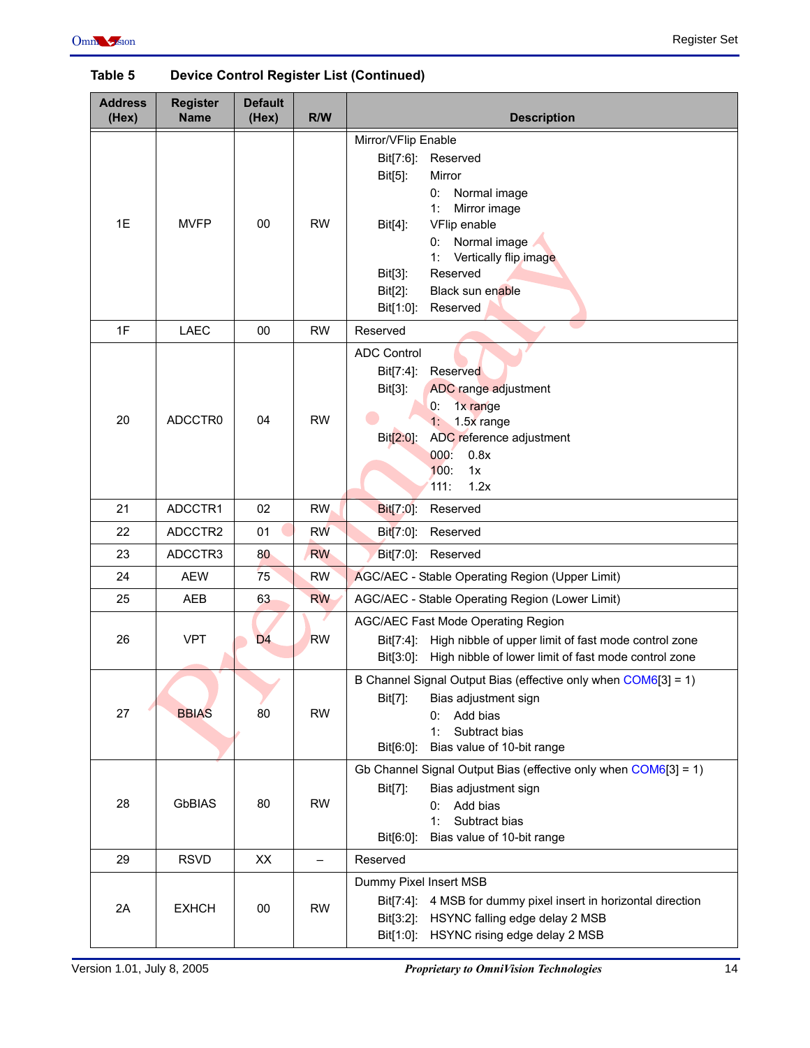| <b>Address</b><br>(Hex) | <b>Register</b><br><b>Name</b> | <b>Default</b><br>(Hex) | R/W       | <b>Description</b>                                                                                                                                                                                                                                                           |
|-------------------------|--------------------------------|-------------------------|-----------|------------------------------------------------------------------------------------------------------------------------------------------------------------------------------------------------------------------------------------------------------------------------------|
| 1E                      | <b>MVFP</b>                    | 00                      | <b>RW</b> | Mirror/VFlip Enable<br>Bit[7:6]:<br>Reserved<br>Bit[5]:<br>Mirror<br>0:<br>Normal image<br>1:<br>Mirror image<br>VFlip enable<br>Bit[4]:<br>0: Normal image<br>Vertically flip image<br>1:<br>Reserved<br>$Bit[3]$ :<br>Black sun enable<br>Bit[2]:<br>Reserved<br>Bit[1:0]: |
| 1F                      | <b>LAEC</b>                    | 00                      | <b>RW</b> | Reserved                                                                                                                                                                                                                                                                     |
| 20                      | ADCCTR0                        | 04                      | <b>RW</b> | <b>ADC Control</b><br>Bit[7:4]:<br>Reserved<br>Bit[3]:<br>ADC range adjustment<br>1x range<br>0:<br>1:<br>1.5x range<br>ADC reference adjustment<br>Bit[2:0]:<br>000:<br>0.8x<br>100:<br>1x<br>111:<br>1.2x                                                                  |
| 21                      | ADCCTR1                        | 02                      | RW        | Bit[7:0]:<br>Reserved                                                                                                                                                                                                                                                        |
| 22                      | ADCCTR2                        | 01                      | <b>RW</b> | $Bit[7:0]$ :<br>Reserved                                                                                                                                                                                                                                                     |
| 23                      | ADCCTR3                        | 80                      | <b>RW</b> | Bit[7:0]:<br>Reserved                                                                                                                                                                                                                                                        |
| 24                      | <b>AEW</b>                     | 75                      | <b>RW</b> | AGC/AEC - Stable Operating Region (Upper Limit)                                                                                                                                                                                                                              |
| 25                      | AEB                            | 63                      | <b>RW</b> | AGC/AEC - Stable Operating Region (Lower Limit)                                                                                                                                                                                                                              |
| 26                      | <b>VPT</b>                     | D <sub>4</sub>          | <b>RW</b> | AGC/AEC Fast Mode Operating Region<br>Bit[7:4]: High nibble of upper limit of fast mode control zone<br>Bit[3:0]: High nibble of lower limit of fast mode control zone                                                                                                       |
| 27                      | <b>BBIAS</b>                   | 80                      | <b>RW</b> | B Channel Signal Output Bias (effective only when COM6[3] = 1)<br>Bit[7]:<br>Bias adjustment sign<br>0: Add bias<br>1:<br>Subtract bias<br>Bias value of 10-bit range<br>$Bit[6:0]$ :                                                                                        |
| 28                      | <b>GbBIAS</b>                  | 80                      | <b>RW</b> | Gb Channel Signal Output Bias (effective only when COM6[3] = 1)<br>Bias adjustment sign<br>Bit[7]:<br>0: Add bias<br>Subtract bias<br>1:<br>Bias value of 10-bit range<br>Bit[6:0]:                                                                                          |
| 29                      | <b>RSVD</b>                    | XX                      |           | Reserved                                                                                                                                                                                                                                                                     |
| 2A                      | <b>EXHCH</b>                   | 00                      | <b>RW</b> | Dummy Pixel Insert MSB<br>Bit[7:4]: 4 MSB for dummy pixel insert in horizontal direction<br>Bit[3:2]: HSYNC falling edge delay 2 MSB<br>Bit[1:0]: HSYNC rising edge delay 2 MSB                                                                                              |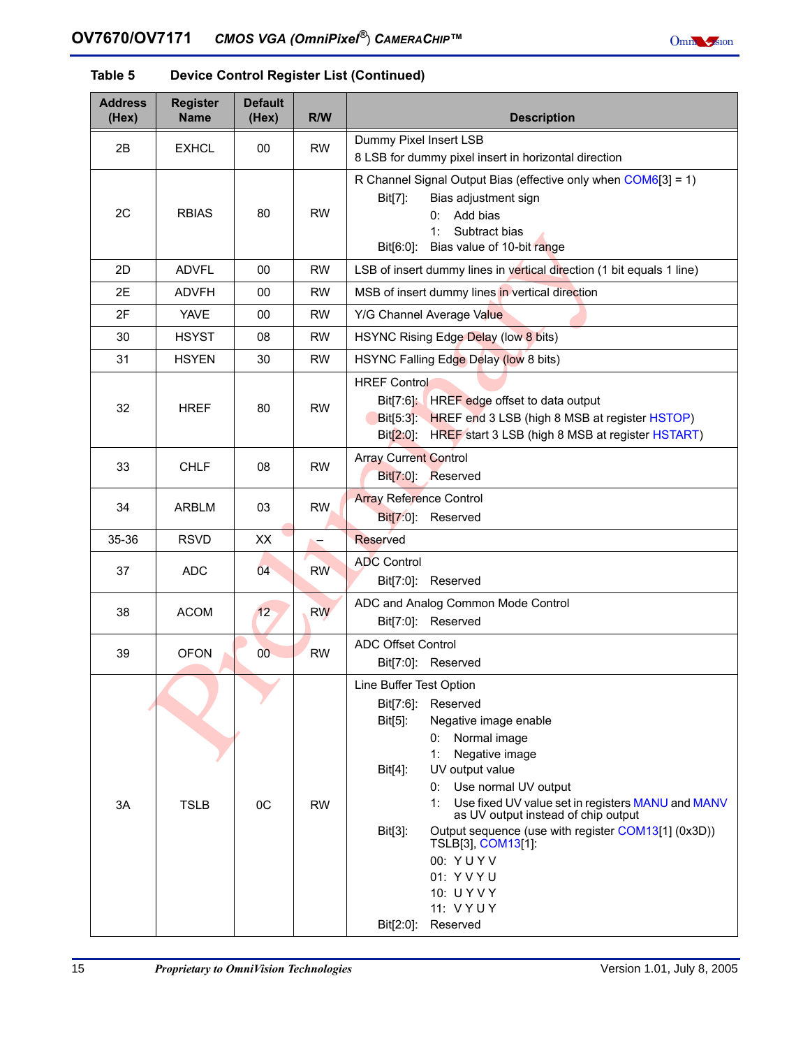

<span id="page-14-3"></span><span id="page-14-2"></span><span id="page-14-1"></span><span id="page-14-0"></span>

| <b>Address</b><br>(Hex) | <b>Register</b><br><b>Name</b> | <b>Default</b><br>(Hex) | R/W                      | <b>Description</b>                                                                                                                                                                                                                                                                                                                                                                                                                                                   |
|-------------------------|--------------------------------|-------------------------|--------------------------|----------------------------------------------------------------------------------------------------------------------------------------------------------------------------------------------------------------------------------------------------------------------------------------------------------------------------------------------------------------------------------------------------------------------------------------------------------------------|
| 2B                      | <b>EXHCL</b>                   | 00                      | <b>RW</b>                | Dummy Pixel Insert LSB<br>8 LSB for dummy pixel insert in horizontal direction                                                                                                                                                                                                                                                                                                                                                                                       |
| 2C                      | <b>RBIAS</b>                   | 80                      | <b>RW</b>                | R Channel Signal Output Bias (effective only when COM6[3] = 1)<br>Bit[7]:<br>Bias adjustment sign<br>Add bias<br>0:<br>Subtract bias<br>1:<br>Bias value of 10-bit range<br>$Bit[6:0]$ :                                                                                                                                                                                                                                                                             |
| 2D                      | <b>ADVFL</b>                   | 00                      | <b>RW</b>                | LSB of insert dummy lines in vertical direction (1 bit equals 1 line)                                                                                                                                                                                                                                                                                                                                                                                                |
| 2E                      | <b>ADVFH</b>                   | 00                      | RW                       | MSB of insert dummy lines in vertical direction                                                                                                                                                                                                                                                                                                                                                                                                                      |
| 2F                      | <b>YAVE</b>                    | 00                      | <b>RW</b>                | Y/G Channel Average Value                                                                                                                                                                                                                                                                                                                                                                                                                                            |
| 30                      | <b>HSYST</b>                   | 08                      | <b>RW</b>                | HSYNC Rising Edge Delay (low 8 bits)                                                                                                                                                                                                                                                                                                                                                                                                                                 |
| 31                      | <b>HSYEN</b>                   | 30                      | <b>RW</b>                | HSYNC Falling Edge Delay (low 8 bits)                                                                                                                                                                                                                                                                                                                                                                                                                                |
| 32                      | <b>HREF</b>                    | 80                      | <b>RW</b>                | <b>HREF Control</b><br>Bit[7:6]: HREF edge offset to data output<br>Bit[5:3]: HREF end 3 LSB (high 8 MSB at register HSTOP)<br>HREF start 3 LSB (high 8 MSB at register HSTART)<br>$Bit[2:0]$ :                                                                                                                                                                                                                                                                      |
| 33                      | <b>CHLF</b>                    | 08                      | <b>RW</b>                | <b>Array Current Control</b><br>Bit[7:0]: Reserved                                                                                                                                                                                                                                                                                                                                                                                                                   |
| 34                      | <b>ARBLM</b>                   | 03                      | <b>RW</b>                | <b>Array Reference Control</b><br>Bit[7:0]:<br>Reserved                                                                                                                                                                                                                                                                                                                                                                                                              |
| 35-36                   | <b>RSVD</b>                    | XX                      | $\overline{\phantom{0}}$ | Reserved                                                                                                                                                                                                                                                                                                                                                                                                                                                             |
| 37                      | <b>ADC</b>                     | 04                      | <b>RW</b>                | <b>ADC Control</b><br>Bit[7:0]:<br>Reserved                                                                                                                                                                                                                                                                                                                                                                                                                          |
| 38                      | <b>ACOM</b>                    | 12                      | <b>RW</b>                | ADC and Analog Common Mode Control<br>Bit[7:0]: Reserved                                                                                                                                                                                                                                                                                                                                                                                                             |
| 39                      | <b>OFON</b>                    | 0 <sup>0</sup>          | <b>RW</b>                | <b>ADC Offset Control</b><br>Bit[7:0]: Reserved                                                                                                                                                                                                                                                                                                                                                                                                                      |
| 3A                      | <b>TSLB</b>                    | $_{0C}$                 | <b>RW</b>                | Line Buffer Test Option<br>Bit[7:6]: Reserved<br>$Bit[5]$ :<br>Negative image enable<br>Normal image<br>0:<br>Negative image<br>1:<br>UV output value<br>Bit[4]:<br>Use normal UV output<br>0:<br>Use fixed UV value set in registers MANU and MANV<br>1:<br>as UV output instead of chip output<br>Bit[3]:<br>Output sequence (use with register COM13[1] (0x3D))<br>TSLB[3], COM13[1]:<br>00: YUYV<br>01: Y V Y U<br>10: UYVY<br>11: VYUY<br>Bit[2:0]:<br>Reserved |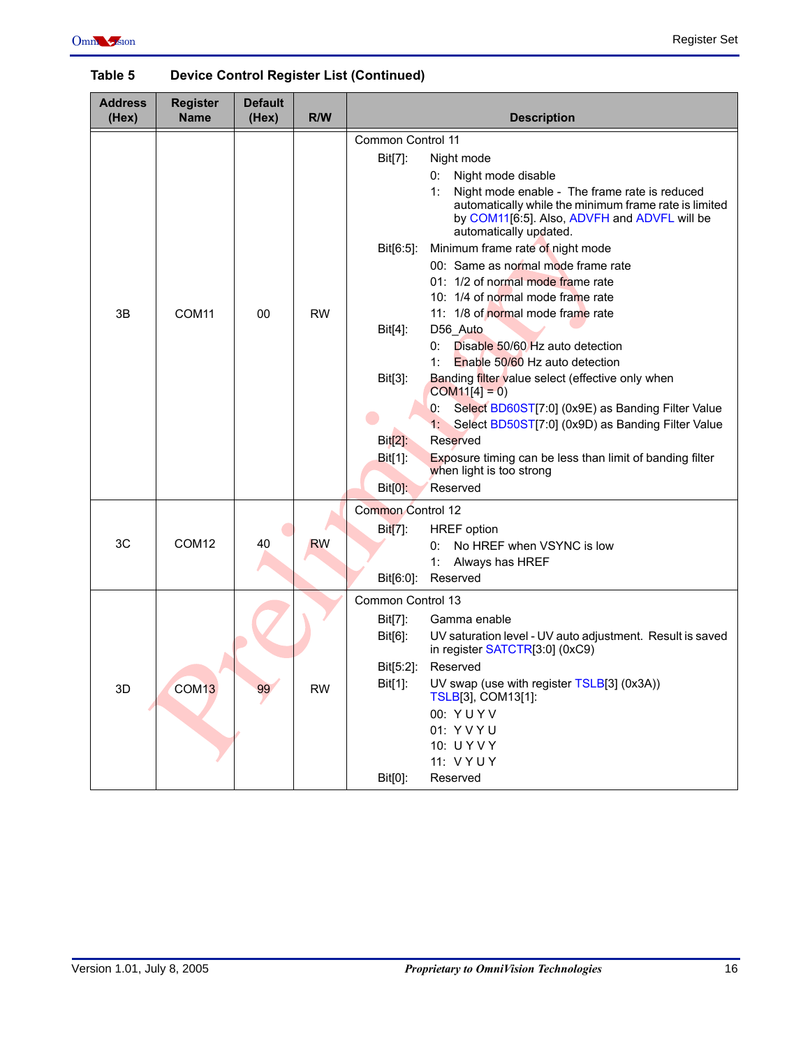<span id="page-15-1"></span><span id="page-15-0"></span>

| <b>Address</b><br>(Hex) | <b>Register</b><br><b>Name</b> | <b>Default</b><br>(Hex) | R/W       | <b>Description</b>                                                                                                                                                                                                                                                                                                                                                                                                                                                                                                       |
|-------------------------|--------------------------------|-------------------------|-----------|--------------------------------------------------------------------------------------------------------------------------------------------------------------------------------------------------------------------------------------------------------------------------------------------------------------------------------------------------------------------------------------------------------------------------------------------------------------------------------------------------------------------------|
|                         |                                |                         |           | <b>Common Control 11</b><br>Bit[7]:<br>Night mode<br>Night mode disable<br>0:<br>1:<br>Night mode enable - The frame rate is reduced<br>automatically while the minimum frame rate is limited<br>by COM11[6:5]. Also, ADVFH and ADVFL will be<br>automatically updated.<br>Minimum frame rate of night mode<br>$Bit[6:5]$ :<br>00: Same as normal mode frame rate<br>01: 1/2 of normal mode frame rate<br>10: 1/4 of normal mode frame rate                                                                              |
| 3B                      | COM <sub>11</sub>              | 00                      | <b>RW</b> | 11: 1/8 of normal mode frame rate<br>Bit[4]:<br>D56_Auto<br>Disable 50/60 Hz auto detection<br>0:<br>Enable 50/60 Hz auto detection<br>1:<br>$Bit[3]$ :<br>Banding filter value select (effective only when<br>$COM11[4] = 0$<br>0: Select BD60ST[7:0] (0x9E) as Banding Filter Value<br>$\ddot{ }$ :<br>Select BD50ST[7:0] (0x9D) as Banding Filter Value<br>$Bit[2]$ :<br>Reserved<br>Bit[1]:<br><b>Exposure timing can be less than limit of banding filter</b><br>when light is too strong<br>Reserved<br>$Bit[0]$ : |
| 3C                      | COM <sub>12</sub>              | 40                      | <b>RW</b> | Common Control 12<br>$Bit[7]$ :<br><b>HREF</b> option<br>No HREF when VSYNC is low<br>0:<br>1:<br>Always has HREF<br>Bit[6:0]:<br>Reserved                                                                                                                                                                                                                                                                                                                                                                               |
| 3D                      | COM <sub>13</sub>              | 99                      | <b>RM</b> | Common Control 13<br>Bit[7]:<br>Gamma enable<br>$Bit[6]$ :<br>UV saturation level - UV auto adjustment. Result is saved<br>in register SATCTR[3:0] (0xC9)<br>Reserved<br>$Bit[5:2]$ :<br>Bit[1]:<br>UV swap (use with register TSLB[3] (0x3A))<br>TSLB[3], COM13[1]:<br>00: YUYV<br>01: YVYU<br>10: UYVY<br>11: VYUY<br>Reserved<br>Bit[0]:                                                                                                                                                                              |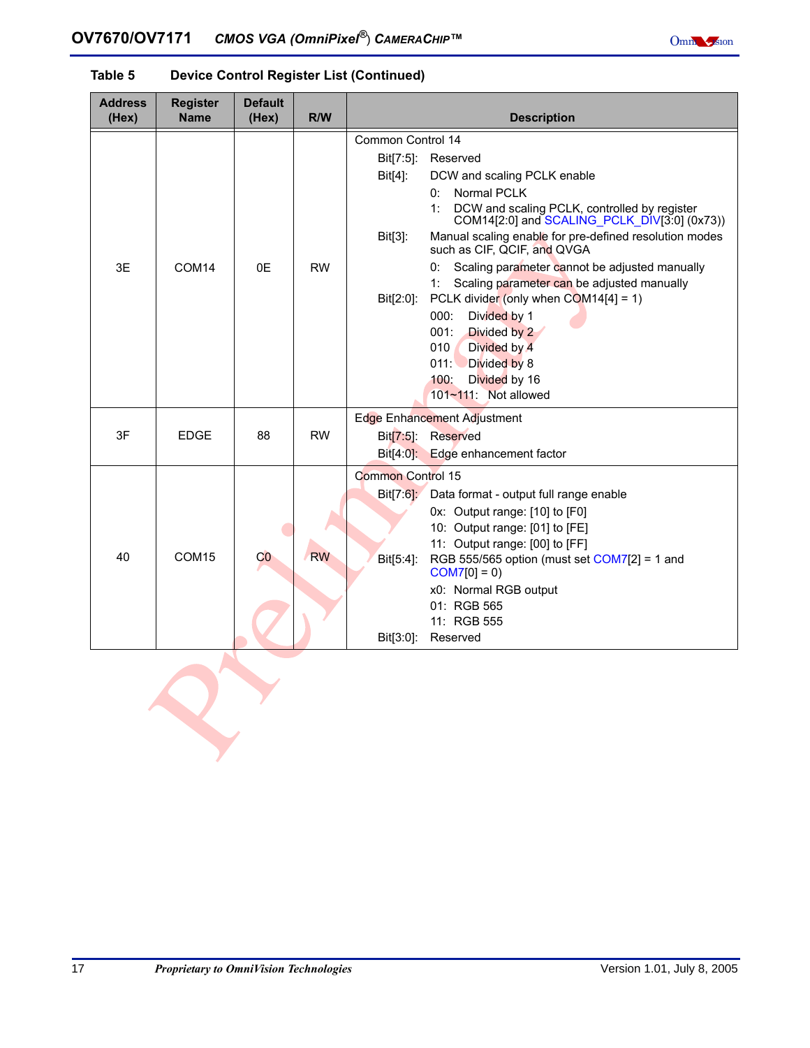

<span id="page-16-1"></span><span id="page-16-0"></span>

| <b>Address</b><br>(Hex) | <b>Register</b><br><b>Name</b> | <b>Default</b><br>(Hex) | R/W                                                                                                 | <b>Description</b>                                                                                                                                                                                                                                                                                                                                                           |  |
|-------------------------|--------------------------------|-------------------------|-----------------------------------------------------------------------------------------------------|------------------------------------------------------------------------------------------------------------------------------------------------------------------------------------------------------------------------------------------------------------------------------------------------------------------------------------------------------------------------------|--|
| 3E                      | COM <sub>14</sub>              | 0E                      | <b>RW</b>                                                                                           | Common Control 14<br>Bit[7:5]: Reserved<br>DCW and scaling PCLK enable<br>Bit[4]:<br>0:<br>Normal PCLK<br>DCW and scaling PCLK, controlled by register<br>1:<br>COM14[2:0] and SCALING PCLK $DIV[3:0]$ (0x73))<br>Manual scaling enable for pre-defined resolution modes<br>$Bit[3]$ :<br>such as CIF, QCIF, and QVGA<br>Scaling parameter cannot be adjusted manually<br>0: |  |
|                         |                                |                         |                                                                                                     | Scaling parameter can be adjusted manually<br>1:<br>PCLK divider (only when COM14[4] = 1)<br>Bit[2:0]:<br>Divided by 1<br>000:<br>001:<br>Divided by 2<br>010<br>Divided by 4<br>011:<br>Divided by 8<br>100.<br>Divided by 16<br>$101 - 111$ : Not allowed                                                                                                                  |  |
| 3F                      | <b>EDGE</b>                    | 88                      | Edge Enhancement Adjustment<br><b>RW</b><br>Bit[7:5]: Reserved<br>Bit[4:0]: Edge enhancement factor |                                                                                                                                                                                                                                                                                                                                                                              |  |
| 40                      | COM <sub>15</sub>              | C <sub>0</sub>          | <b>RW</b>                                                                                           | <b>Common Control 15</b><br>Data format - output full range enable<br>Bit[7:6]<br>0x: Output range: [10] to [F0]<br>10: Output range: [01] to [FE]<br>11: Output range: [00] to [FF]<br>RGB 555/565 option (must set COM7[2] = 1 and<br>Bit[5:4]:<br>$COM7[0] = 0$<br>x0: Normal RGB output<br>01: RGB 565<br>11: RGB 555<br>Reserved<br>Bit[3:0]:                           |  |
|                         |                                |                         |                                                                                                     |                                                                                                                                                                                                                                                                                                                                                                              |  |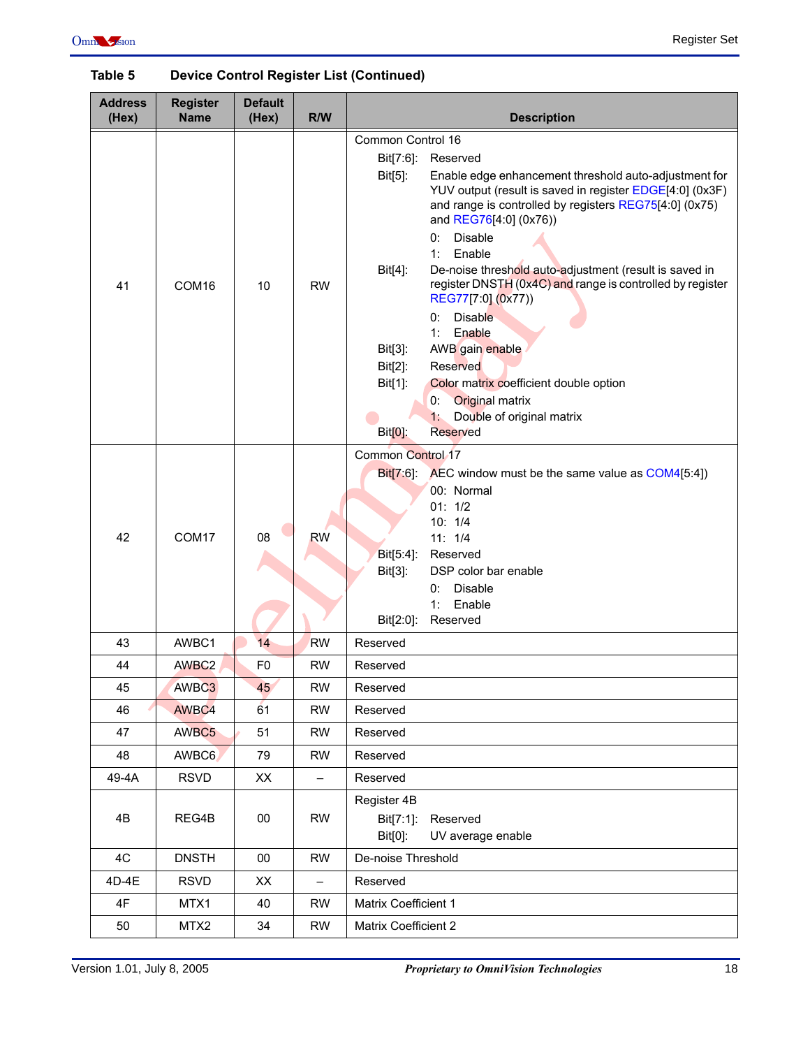<span id="page-17-0"></span>

| <b>Address</b><br>(Hex) | <b>Register</b><br><b>Name</b> | <b>Default</b><br>(Hex) | R/W       | <b>Description</b>                                                                                                                                                                                                  |  |  |
|-------------------------|--------------------------------|-------------------------|-----------|---------------------------------------------------------------------------------------------------------------------------------------------------------------------------------------------------------------------|--|--|
|                         |                                |                         |           | Common Control 16                                                                                                                                                                                                   |  |  |
|                         |                                |                         |           | Bit[7:6]:<br>Reserved                                                                                                                                                                                               |  |  |
|                         | COM <sub>16</sub>              |                         | <b>RW</b> | $Bit[5]$ :<br>Enable edge enhancement threshold auto-adjustment for<br>YUV output (result is saved in register EDGE[4:0] (0x3F)<br>and range is controlled by registers REG75[4:0] (0x75)<br>and REG76[4:0] (0x76)) |  |  |
| 41                      |                                | 10                      |           | Disable<br>0:<br>Enable<br>1:<br>De-noise threshold auto-adjustment (result is saved in<br>Bit[4]:<br>register DNSTH (0x4C) and range is controlled by register<br>REG77[7:0] (0x77))<br><b>Disable</b><br>0:       |  |  |
|                         |                                |                         |           | Enable<br>1:                                                                                                                                                                                                        |  |  |
|                         |                                |                         |           | AWB gain enable<br>$Bit[3]$ :<br>Reserved<br>Bit[2]:                                                                                                                                                                |  |  |
|                         |                                |                         |           | Bit[1]:<br>Color matrix coefficient double option                                                                                                                                                                   |  |  |
|                         |                                |                         |           | Original matrix<br>0:                                                                                                                                                                                               |  |  |
|                         |                                |                         |           | 1.<br>Double of original matrix<br>Reserved<br>Bit <sup>[0]:</sup>                                                                                                                                                  |  |  |
|                         |                                |                         |           | Common Control 17                                                                                                                                                                                                   |  |  |
|                         |                                |                         |           | Bit <sup>[7:6]:</sup> AEC window must be the same value as COM4[5:4])                                                                                                                                               |  |  |
|                         | COM <sub>17</sub>              |                         |           | 00: Normal                                                                                                                                                                                                          |  |  |
|                         |                                |                         |           | 01: 1/2                                                                                                                                                                                                             |  |  |
| 42                      |                                | 08                      | <b>RW</b> | 10: 1/4<br>11: 1/4                                                                                                                                                                                                  |  |  |
|                         |                                |                         |           | Bit[5:4]:<br>Reserved                                                                                                                                                                                               |  |  |
|                         |                                |                         |           | DSP color bar enable<br>$Bit[3]$ :                                                                                                                                                                                  |  |  |
|                         |                                |                         |           | <b>Disable</b><br>0:                                                                                                                                                                                                |  |  |
|                         |                                |                         |           | 1:<br>Enable<br>Bit[2:0]:<br>Reserved                                                                                                                                                                               |  |  |
| 43                      | AWBC1                          | 14                      | <b>RW</b> | Reserved                                                                                                                                                                                                            |  |  |
| 44                      | AWBC <sub>2</sub>              | F <sub>0</sub>          | <b>RW</b> | Reserved                                                                                                                                                                                                            |  |  |
| 45                      | AWBC3                          | 45                      | <b>RW</b> | Reserved                                                                                                                                                                                                            |  |  |
| 46                      | AWBC4                          | 61                      | <b>RW</b> | Reserved                                                                                                                                                                                                            |  |  |
| 47                      | AWBC5                          | 51                      | <b>RW</b> | Reserved                                                                                                                                                                                                            |  |  |
| 48                      | AWBC6                          | 79                      | <b>RW</b> | Reserved                                                                                                                                                                                                            |  |  |
| 49-4A                   | <b>RSVD</b>                    | XX                      |           | Reserved                                                                                                                                                                                                            |  |  |
| 4B                      | REG4B                          | $00\,$                  | <b>RW</b> | Register 4B<br>$Bit[7:1]$ :<br>Reserved<br>Bit[0]:<br>UV average enable                                                                                                                                             |  |  |
| 4C                      | <b>DNSTH</b>                   | 00                      | <b>RW</b> | De-noise Threshold                                                                                                                                                                                                  |  |  |
| 4D-4E                   | <b>RSVD</b>                    | XX                      |           | Reserved                                                                                                                                                                                                            |  |  |
| 4F                      | MTX1                           | 40                      | <b>RW</b> | Matrix Coefficient 1                                                                                                                                                                                                |  |  |
| 50                      | MTX2                           | 34                      | <b>RW</b> | Matrix Coefficient 2                                                                                                                                                                                                |  |  |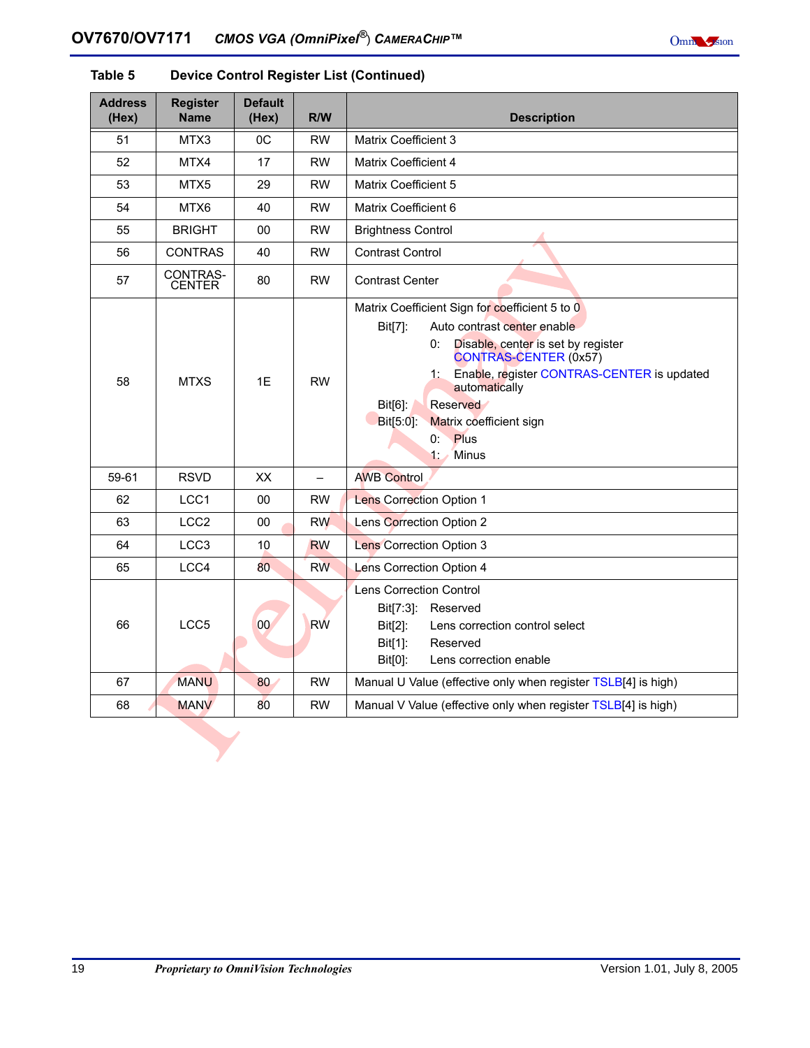

<span id="page-18-3"></span><span id="page-18-2"></span><span id="page-18-1"></span><span id="page-18-0"></span>

| <b>Address</b><br>(Hex) | <b>Register</b><br><b>Name</b> | <b>Default</b><br>(Hex) | R/W       | <b>Description</b>                                                                                                                                                                                                                                                                                                                                    |  |  |
|-------------------------|--------------------------------|-------------------------|-----------|-------------------------------------------------------------------------------------------------------------------------------------------------------------------------------------------------------------------------------------------------------------------------------------------------------------------------------------------------------|--|--|
| 51                      | MTX3                           | OC                      | <b>RW</b> | Matrix Coefficient 3                                                                                                                                                                                                                                                                                                                                  |  |  |
| 52                      | MTX4                           | 17                      | <b>RW</b> | <b>Matrix Coefficient 4</b>                                                                                                                                                                                                                                                                                                                           |  |  |
| 53                      | MTX5                           | 29                      | <b>RW</b> | <b>Matrix Coefficient 5</b>                                                                                                                                                                                                                                                                                                                           |  |  |
| 54                      | MTX6                           | 40                      | <b>RW</b> | Matrix Coefficient 6                                                                                                                                                                                                                                                                                                                                  |  |  |
| 55                      | <b>BRIGHT</b>                  | 00                      | <b>RW</b> | <b>Brightness Control</b>                                                                                                                                                                                                                                                                                                                             |  |  |
| 56                      | <b>CONTRAS</b>                 | 40                      | <b>RW</b> | <b>Contrast Control</b>                                                                                                                                                                                                                                                                                                                               |  |  |
| 57                      | CONTRAS-<br><b>CENTER</b>      | 80                      | <b>RW</b> | <b>Contrast Center</b>                                                                                                                                                                                                                                                                                                                                |  |  |
| 58                      | <b>MTXS</b>                    | 1E                      | <b>RW</b> | Matrix Coefficient Sign for coefficient 5 to 0<br>Auto contrast center enable<br>Bit[7]:<br>Disable, center is set by register<br>0:<br>CONTRAS-CENTER (0x57)<br>Enable, register CONTRAS-CENTER is updated<br>$\mathbf{L}$<br>automatically<br>Reserved<br>$Bit[6]$ :<br>Bit[5:0]:<br>Matrix coefficient sign<br>Plus<br>0:<br>Minus<br>$\ddot{ }$ : |  |  |
| 59-61                   | <b>RSVD</b>                    | XX                      |           | <b>AWB Control</b>                                                                                                                                                                                                                                                                                                                                    |  |  |
| 62                      | LCC1                           | 00                      | <b>RW</b> | <b>Lens Correction Option 1</b>                                                                                                                                                                                                                                                                                                                       |  |  |
| 63                      | LCC <sub>2</sub>               | 00                      | <b>RW</b> | Lens Correction Option 2                                                                                                                                                                                                                                                                                                                              |  |  |
| 64                      | LCC <sub>3</sub>               | 10                      | <b>RW</b> | <b>Lens Correction Option 3</b>                                                                                                                                                                                                                                                                                                                       |  |  |
| 65                      | LCC4                           | 80                      | <b>RW</b> | Lens Correction Option 4                                                                                                                                                                                                                                                                                                                              |  |  |
| 66                      | LCC <sub>5</sub>               | 00 <sup>°</sup>         | <b>RW</b> | <b>Lens Correction Control</b><br>Bit[7:3]: Reserved<br>$Bit[2]$ :<br>Lens correction control select<br>Bit[1]:<br>Reserved<br>Bit[0]:<br>Lens correction enable                                                                                                                                                                                      |  |  |
| 67                      | <b>MANU</b>                    | 80                      | <b>RW</b> | Manual U Value (effective only when register TSLB[4] is high)                                                                                                                                                                                                                                                                                         |  |  |
| 68                      | <b>MANV</b>                    | 80                      | <b>RW</b> | Manual V Value (effective only when register TSLB[4] is high)                                                                                                                                                                                                                                                                                         |  |  |
|                         |                                |                         |           |                                                                                                                                                                                                                                                                                                                                                       |  |  |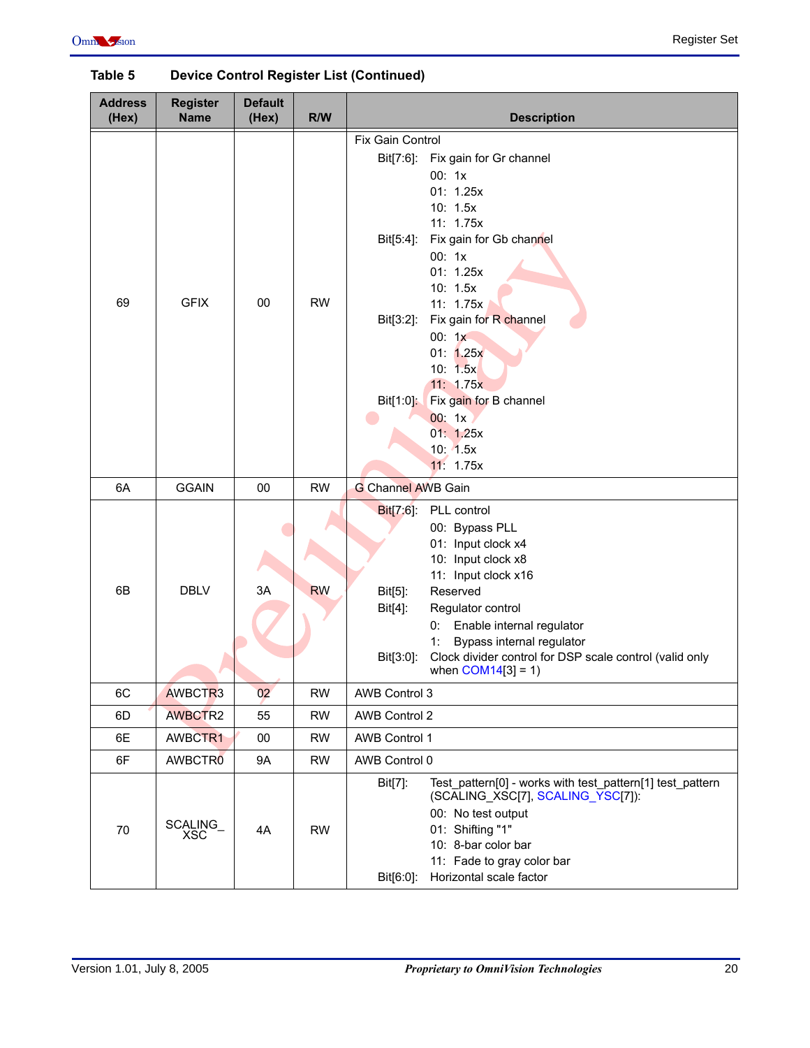<span id="page-19-0"></span>

| <b>Address</b><br>(Hex) | <b>Register</b><br><b>Name</b> | <b>Default</b><br>(Hex) | R/W       | <b>Description</b>                                                                                                                                                                                                                                                                                                                                                                        |
|-------------------------|--------------------------------|-------------------------|-----------|-------------------------------------------------------------------------------------------------------------------------------------------------------------------------------------------------------------------------------------------------------------------------------------------------------------------------------------------------------------------------------------------|
| 69                      | <b>GFIX</b>                    | 00                      | <b>RW</b> | <b>Fix Gain Control</b><br>Bit[7:6]:<br>Fix gain for Gr channel<br>00: 1x<br>01: 1.25x<br>10: 1.5x<br>11: 1.75x<br>Fix gain for Gb channel<br>Bit[5:4]:<br>00: 1x<br>01: 1.25x<br>10: 1.5x<br>11: $1.75x$<br>Fix gain for R channel<br>Bit[3:2]:<br>00:1x<br>01: 1.25x<br>10: $1.5x$<br>11: $1.75x$<br>Fix gain for B channel<br>Bit[1:0]:<br>00:1x<br>01: 1.25x<br>10: 1.5x<br>11: 1.75x |
| 6A                      | <b>GGAIN</b>                   | 00                      | <b>RW</b> | <b>G</b> Channel AWB Gain                                                                                                                                                                                                                                                                                                                                                                 |
| 6B                      | <b>DBLV</b>                    | 3A                      | <b>RW</b> | Bit[7:6]:<br>PLL control<br>00: Bypass PLL<br>01: Input clock x4<br>10: Input clock x8<br>11: Input clock x16<br>Reserved<br>$Bit[5]$ :<br>Bit[4]:<br>Regulator control<br>Enable internal regulator<br>0:<br>Bypass internal regulator<br>1:<br>Clock divider control for DSP scale control (valid only<br>Bit[3:0]:<br>when $COM14[3] = 1$ )                                            |
| 6C                      | AWBCTR3                        | 02                      | <b>RW</b> | AWB Control 3                                                                                                                                                                                                                                                                                                                                                                             |
| 6D                      | <b>AWBCTR2</b>                 | 55                      | <b>RW</b> | <b>AWB Control 2</b>                                                                                                                                                                                                                                                                                                                                                                      |
| 6E                      | AWBCTR1                        | 00                      | <b>RW</b> | AWB Control 1                                                                                                                                                                                                                                                                                                                                                                             |
| 6F                      | AWBCTR0                        | 9A                      | <b>RW</b> | AWB Control 0                                                                                                                                                                                                                                                                                                                                                                             |
| 70                      | SCALING_<br><b>XSC</b>         | 4A                      | <b>RW</b> | Test pattern[0] - works with test pattern[1] test pattern<br>$Bit[7]$ :<br>(SCALING_XSC[7], SCALING_YSC[7]):<br>00: No test output<br>01: Shifting "1"<br>10: 8-bar color bar<br>11: Fade to gray color bar<br>Horizontal scale factor<br>$Bit[6:0]$ :                                                                                                                                    |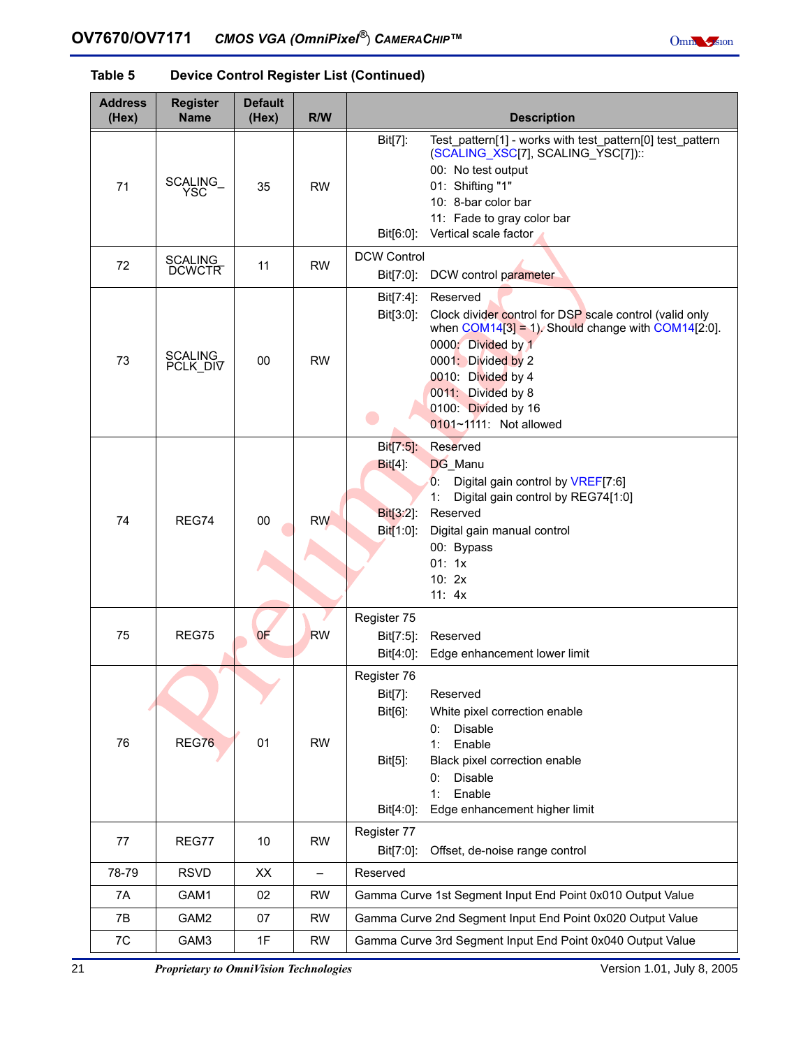

<span id="page-20-4"></span><span id="page-20-1"></span><span id="page-20-0"></span>

| <b>Address</b><br>(Hex) | <b>Register</b><br><b>Name</b>  | <b>Default</b><br>(Hex) | R/W                      | <b>Description</b>                                                                                                                                                                                                                                                                                   |  |  |
|-------------------------|---------------------------------|-------------------------|--------------------------|------------------------------------------------------------------------------------------------------------------------------------------------------------------------------------------------------------------------------------------------------------------------------------------------------|--|--|
| 71                      | SCALING_<br><b>YSC</b>          | 35                      | <b>RW</b>                | Bit[7]:<br>Test_pattern[1] - works with test_pattern[0] test_pattern<br>(SCALING_XSC[7], SCALING_YSC[7])::<br>00: No test output<br>01: Shifting "1"<br>10: 8-bar color bar<br>11: Fade to gray color bar<br>Vertical scale factor<br>$Bit[6:0]$ :                                                   |  |  |
| 72                      | <b>SCALING</b><br><b>DCWCTR</b> | 11                      | <b>RW</b>                | <b>DCW Control</b><br>DCW control parameter<br>Bit[7:0]:                                                                                                                                                                                                                                             |  |  |
| 73                      | <b>SCALING</b><br>PCLK_DIV      | 00                      | <b>RW</b>                | Bit[7:4]:<br>Reserved<br>Clock divider control for DSP scale control (valid only<br>$Bit[3:0]$ :<br>when $COM14[3] = 1$ . Should change with $COM14[2:0]$ .<br>0000: Divided by 1<br>0001: Divided by 2<br>0010: Divided by 4<br>0011: Divided by 8<br>0100: Divided by 16<br>0101~1111: Not allowed |  |  |
| 74                      | REG74                           | 00                      | <b>RW</b>                | $Bit[7:5]$ :<br>Reserved<br><b>Bit[4]:</b><br>DG_Manu<br>Digital gain control by VREF[7:6]<br>0:<br>Digital gain control by REG74[1:0]<br>1:<br>Reserved<br>Bit[3:2]:<br>Bit <sup>[1:0]:</sup><br>Digital gain manual control<br>00: Bypass<br>01: 1x<br>10:2x<br>11:4x                              |  |  |
| 75                      | REG75                           | 0F                      | <b>RW</b>                | Register 75<br>Bit[7:5]:<br>Reserved<br>$Bit[4:0]$ :<br>Edge enhancement lower limit                                                                                                                                                                                                                 |  |  |
| 76                      | REG76                           | 01                      | <b>RW</b>                | Register 76<br>Bit[7]:<br>Reserved<br>Bit[6]:<br>White pixel correction enable<br>Disable<br>0:<br>Enable<br>1:<br>Black pixel correction enable<br>$Bit[5]$ :<br>Disable<br>0:<br>Enable<br>1:<br>Edge enhancement higher limit<br>Bit[4:0]:                                                        |  |  |
| 77                      | REG77                           | 10                      | <b>RW</b>                | Register 77<br>Offset, de-noise range control<br>Bit[7:0]:                                                                                                                                                                                                                                           |  |  |
| 78-79                   | <b>RSVD</b>                     | XX                      | $\overline{\phantom{0}}$ | Reserved                                                                                                                                                                                                                                                                                             |  |  |
| 7A                      | GAM1                            | 02                      | <b>RW</b>                | Gamma Curve 1st Segment Input End Point 0x010 Output Value                                                                                                                                                                                                                                           |  |  |
| 7B                      | GAM2                            | 07                      | <b>RW</b>                | Gamma Curve 2nd Segment Input End Point 0x020 Output Value                                                                                                                                                                                                                                           |  |  |
| 7C                      | GAM3                            | 1F                      | <b>RW</b>                | Gamma Curve 3rd Segment Input End Point 0x040 Output Value                                                                                                                                                                                                                                           |  |  |

<span id="page-20-3"></span><span id="page-20-2"></span>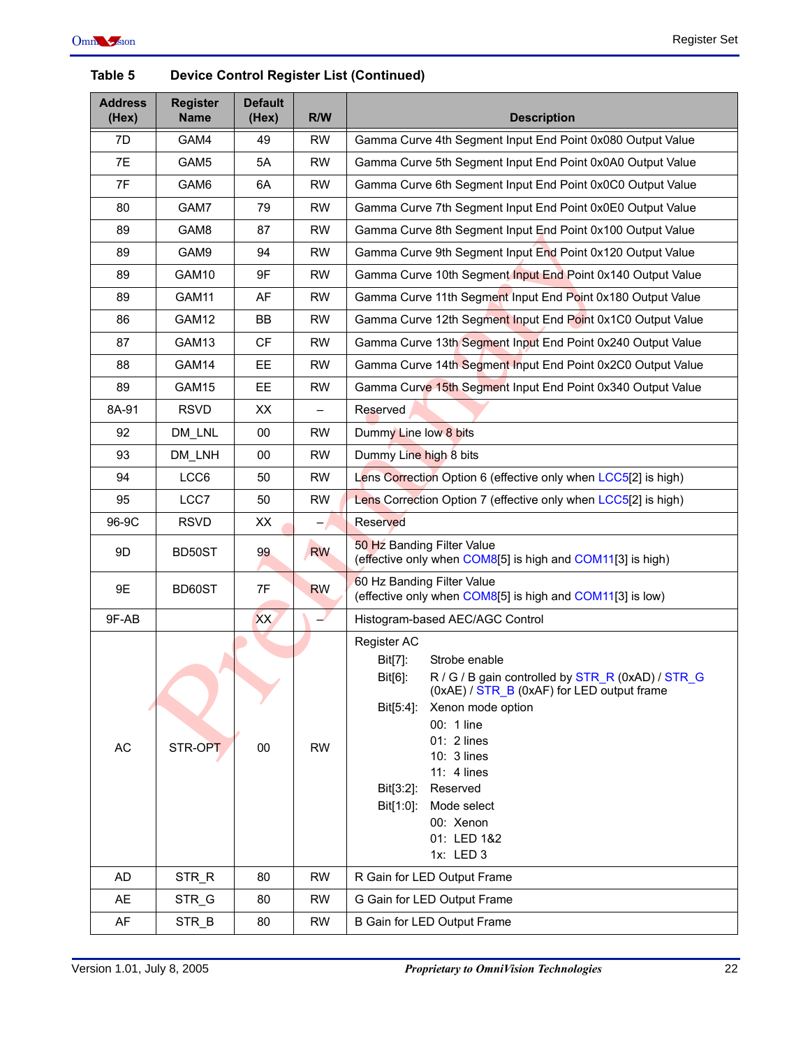<span id="page-21-4"></span><span id="page-21-3"></span><span id="page-21-2"></span><span id="page-21-1"></span><span id="page-21-0"></span>

| <b>Address</b><br>(Hex) | <b>Register</b><br><b>Name</b> | <b>Default</b><br>(Hex) | R/W                      | <b>Description</b>                                                                                                                                                                                                                                                                                                                                    |  |
|-------------------------|--------------------------------|-------------------------|--------------------------|-------------------------------------------------------------------------------------------------------------------------------------------------------------------------------------------------------------------------------------------------------------------------------------------------------------------------------------------------------|--|
| 7D                      | GAM4                           | 49                      | <b>RW</b>                | Gamma Curve 4th Segment Input End Point 0x080 Output Value                                                                                                                                                                                                                                                                                            |  |
| 7E                      | GAM5                           | 5A                      | <b>RW</b>                | Gamma Curve 5th Segment Input End Point 0x0A0 Output Value                                                                                                                                                                                                                                                                                            |  |
| 7F                      | GAM6                           | 6A                      | <b>RW</b>                | Gamma Curve 6th Segment Input End Point 0x0C0 Output Value                                                                                                                                                                                                                                                                                            |  |
| 80                      | GAM7                           | 79                      | <b>RW</b>                | Gamma Curve 7th Segment Input End Point 0x0E0 Output Value                                                                                                                                                                                                                                                                                            |  |
| 89                      | GAM8                           | 87                      | <b>RW</b>                | Gamma Curve 8th Segment Input End Point 0x100 Output Value                                                                                                                                                                                                                                                                                            |  |
| 89                      | GAM9                           | 94                      | <b>RW</b>                | Gamma Curve 9th Segment Input End Point 0x120 Output Value                                                                                                                                                                                                                                                                                            |  |
| 89                      | GAM10                          | 9F                      | <b>RW</b>                | Gamma Curve 10th Segment Input End Point 0x140 Output Value                                                                                                                                                                                                                                                                                           |  |
| 89                      | GAM11                          | AF                      | <b>RW</b>                | Gamma Curve 11th Segment Input End Point 0x180 Output Value                                                                                                                                                                                                                                                                                           |  |
| 86                      | GAM12                          | <b>BB</b>               | <b>RW</b>                | Gamma Curve 12th Segment Input End Point 0x1C0 Output Value                                                                                                                                                                                                                                                                                           |  |
| 87                      | GAM13                          | CF                      | <b>RW</b>                | Gamma Curve 13th Segment Input End Point 0x240 Output Value                                                                                                                                                                                                                                                                                           |  |
| 88                      | GAM14                          | EE                      | <b>RW</b>                | Gamma Curve 14th Segment Input End Point 0x2C0 Output Value                                                                                                                                                                                                                                                                                           |  |
| 89                      | GAM15                          | EE                      | <b>RW</b>                | Gamma Curve 15th Segment Input End Point 0x340 Output Value                                                                                                                                                                                                                                                                                           |  |
| 8A-91                   | <b>RSVD</b>                    | XX                      | $\overline{\phantom{0}}$ | Reserved                                                                                                                                                                                                                                                                                                                                              |  |
| 92                      | DM LNL                         | 00                      | <b>RW</b>                | Dummy Line low 8 bits                                                                                                                                                                                                                                                                                                                                 |  |
| 93                      | DM_LNH                         | 00                      | <b>RW</b>                | Dummy Line high 8 bits                                                                                                                                                                                                                                                                                                                                |  |
| 94                      | LCC6                           | 50                      | <b>RW</b>                | Lens Correction Option 6 (effective only when LCC5[2] is high)                                                                                                                                                                                                                                                                                        |  |
| 95                      | LCC7                           | 50                      | <b>RW</b>                | Lens Correction Option 7 (effective only when LCC5[2] is high)                                                                                                                                                                                                                                                                                        |  |
| 96-9C                   | <b>RSVD</b>                    | XX                      | $\qquad \qquad -$        | Reserved                                                                                                                                                                                                                                                                                                                                              |  |
| 9D                      | BD50ST                         | 99                      | <b>RW</b>                | 50 Hz Banding Filter Value<br>(effective only when COM8[5] is high and COM11[3] is high)                                                                                                                                                                                                                                                              |  |
| 9E                      | BD60ST                         | 7F                      | <b>RW</b>                | 60 Hz Banding Filter Value<br>(effective only when COM8[5] is high and COM11[3] is low)                                                                                                                                                                                                                                                               |  |
| 9F-AB                   |                                | <b>XX</b>               | ر_                       | Histogram-based AEC/AGC Control                                                                                                                                                                                                                                                                                                                       |  |
| AC                      | STR-OPT                        | 00                      | <b>RW</b>                | Register AC<br>Bit[7]:<br>Strobe enable<br>R / G / B gain controlled by STR_R (0xAD) / STR_G<br>$Bit[6]$ :<br>(0xAE) / STR_B (0xAF) for LED output frame<br>Xenon mode option<br>Bit[5:4]:<br>00: 1 line<br>01: 2 lines<br>10: 3 lines<br>11: $4$ lines<br>Reserved<br>Bit[3:2]:<br>Bit[1:0]:<br>Mode select<br>00: Xenon<br>01: LED 1&2<br>1x: LED 3 |  |
| AD                      | STR_R                          | 80                      | <b>RW</b>                | R Gain for LED Output Frame                                                                                                                                                                                                                                                                                                                           |  |
| AE                      | STR <sub>_G</sub>              | 80                      | RW                       | G Gain for LED Output Frame                                                                                                                                                                                                                                                                                                                           |  |
| AF                      | STR_B                          | 80                      | <b>RW</b>                | B Gain for LED Output Frame                                                                                                                                                                                                                                                                                                                           |  |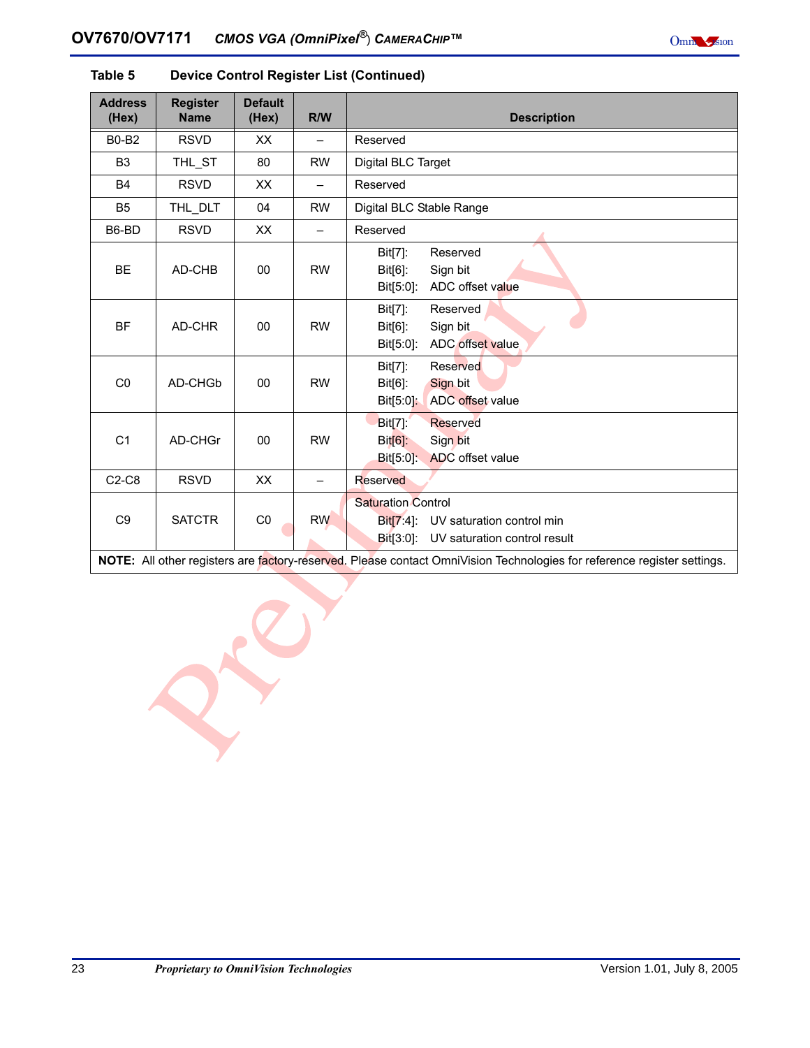

| <b>Address</b><br>(Hex)                                                                                                 | <b>Register</b><br><b>Name</b> | <b>Default</b><br>(Hex) | R/W                      | <b>Description</b>                                                                                            |  |
|-------------------------------------------------------------------------------------------------------------------------|--------------------------------|-------------------------|--------------------------|---------------------------------------------------------------------------------------------------------------|--|
| <b>B0-B2</b>                                                                                                            | <b>RSVD</b>                    | XX                      | $\overline{\phantom{0}}$ | Reserved                                                                                                      |  |
| B <sub>3</sub>                                                                                                          | THL_ST                         | 80                      | <b>RW</b>                | Digital BLC Target                                                                                            |  |
| <b>B4</b>                                                                                                               | <b>RSVD</b>                    | XX                      |                          | Reserved                                                                                                      |  |
| B <sub>5</sub>                                                                                                          | THL DLT                        | 04                      | <b>RW</b>                | Digital BLC Stable Range                                                                                      |  |
| B6-BD                                                                                                                   | <b>RSVD</b>                    | XX                      | $\overline{\phantom{0}}$ | Reserved                                                                                                      |  |
| <b>BE</b>                                                                                                               | AD-CHB                         | 00                      | <b>RW</b>                | Reserved<br>$Bit[7]$ :<br>$Bit[6]$ :<br>Sign bit<br>ADC offset value<br>Bit[5:0]:                             |  |
| <b>BF</b>                                                                                                               | AD-CHR                         | 00                      | <b>RW</b>                | Bit[7]:<br>Reserved<br>$Bit[6]$ :<br>Sign bit<br>ADC offset value<br>Bit[5:0]:                                |  |
| CO                                                                                                                      | AD-CHGb                        | 00                      | <b>RW</b>                | Reserved<br>$Bit[7]$ :<br>$Bit[6]$ :<br>Sign bit<br>ADC offset value<br>Bit[5:0]:                             |  |
| C <sub>1</sub>                                                                                                          | AD-CHGr                        | 00                      | <b>RW</b>                | <b>Bit[7]:</b><br>Reserved<br>$Bit[6]$ :<br>Sign bit<br>ADC offset value<br>Bit[5:0]:                         |  |
| $C2-C8$                                                                                                                 | <b>RSVD</b>                    | <b>XX</b>               | $\overline{\phantom{0}}$ | <b>Reserved</b>                                                                                               |  |
| C <sub>9</sub>                                                                                                          | <b>SATCTR</b>                  | CO                      | <b>RW</b>                | <b>Saturation Control</b><br>Bit[7:4]: UV saturation control min<br>Bit[3:0]:<br>UV saturation control result |  |
| NOTE: All other registers are factory-reserved. Please contact OmniVision Technologies for reference register settings. |                                |                         |                          |                                                                                                               |  |

<span id="page-22-0"></span>RR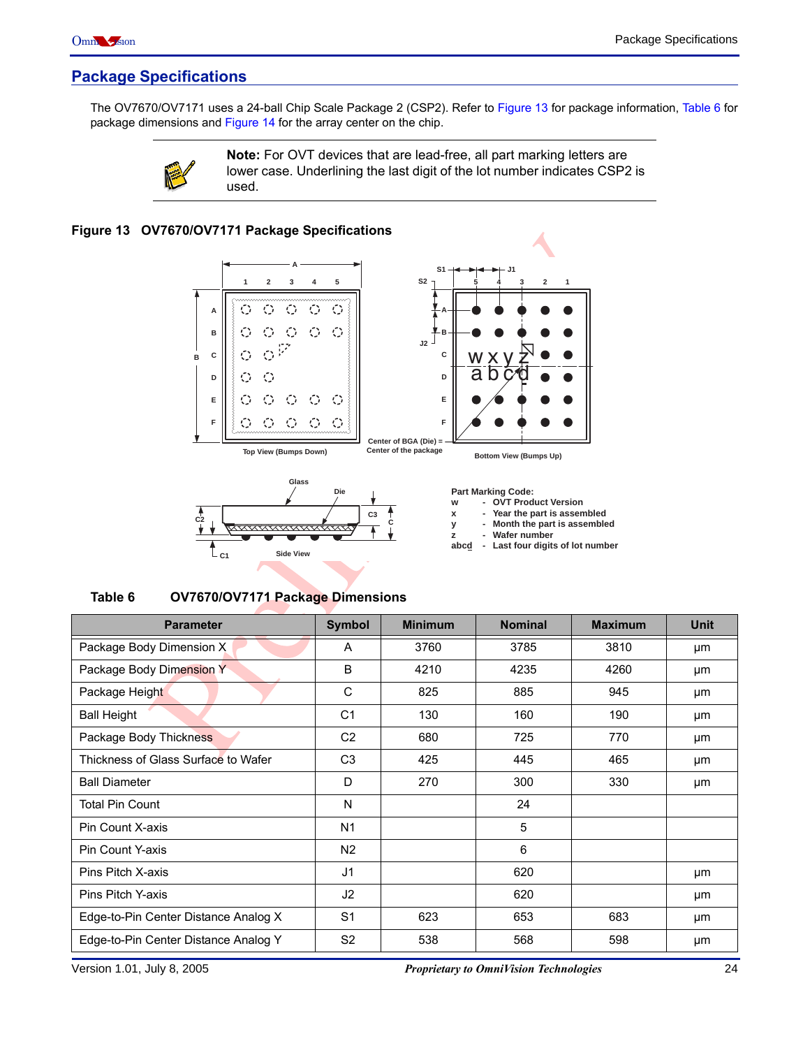## **Package Specifications**

The OV7670/OV7171 uses a 24-ball Chip Scale Package 2 (CSP2). Refer to [Figure 13](#page-23-0) for package information, [Table 6](#page-23-1) for package dimensions and [Figure 14](#page-24-0) for the array center on the chip.



**Note:** For OVT devices that are lead-free, all part marking letters are lower case. Underlining the last digit of the lot number indicates CSP2 is used.

#### <span id="page-23-0"></span>**Figure 13 OV7670/OV7171 Package Specifications**





#### <span id="page-23-1"></span>**Table 6 OV7670/OV7171 Package Dimensions**

| <b>Parameter</b>                     | <b>Symbol</b>  | <b>Minimum</b> | <b>Nominal</b> | <b>Maximum</b> | <b>Unit</b> |
|--------------------------------------|----------------|----------------|----------------|----------------|-------------|
| Package Body Dimension X             | A              | 3760           | 3785           | 3810           | μm          |
| Package Body Dimension Y             | B              | 4210           | 4235           | 4260           | μm          |
| Package Height                       | C              | 825            | 885            | 945            | μm          |
| <b>Ball Height</b>                   | C <sub>1</sub> | 130            | 160            | 190            | μm          |
| Package Body Thickness               | C <sub>2</sub> | 680            | 725            | 770            | μm          |
| Thickness of Glass Surface to Wafer  | C <sub>3</sub> | 425            | 445            | 465            | μm          |
| <b>Ball Diameter</b>                 | D              | 270            | 300            | 330            | μm          |
| <b>Total Pin Count</b>               | N              |                | 24             |                |             |
| Pin Count X-axis                     | N <sub>1</sub> |                | 5              |                |             |
| Pin Count Y-axis                     | N <sub>2</sub> |                | 6              |                |             |
| Pins Pitch X-axis                    | J <sub>1</sub> |                | 620            |                | μm          |
| Pins Pitch Y-axis                    | J2             |                | 620            |                | μm          |
| Edge-to-Pin Center Distance Analog X | S <sub>1</sub> | 623            | 653            | 683            | μm          |
| Edge-to-Pin Center Distance Analog Y | S <sub>2</sub> | 538            | 568            | 598            | μm          |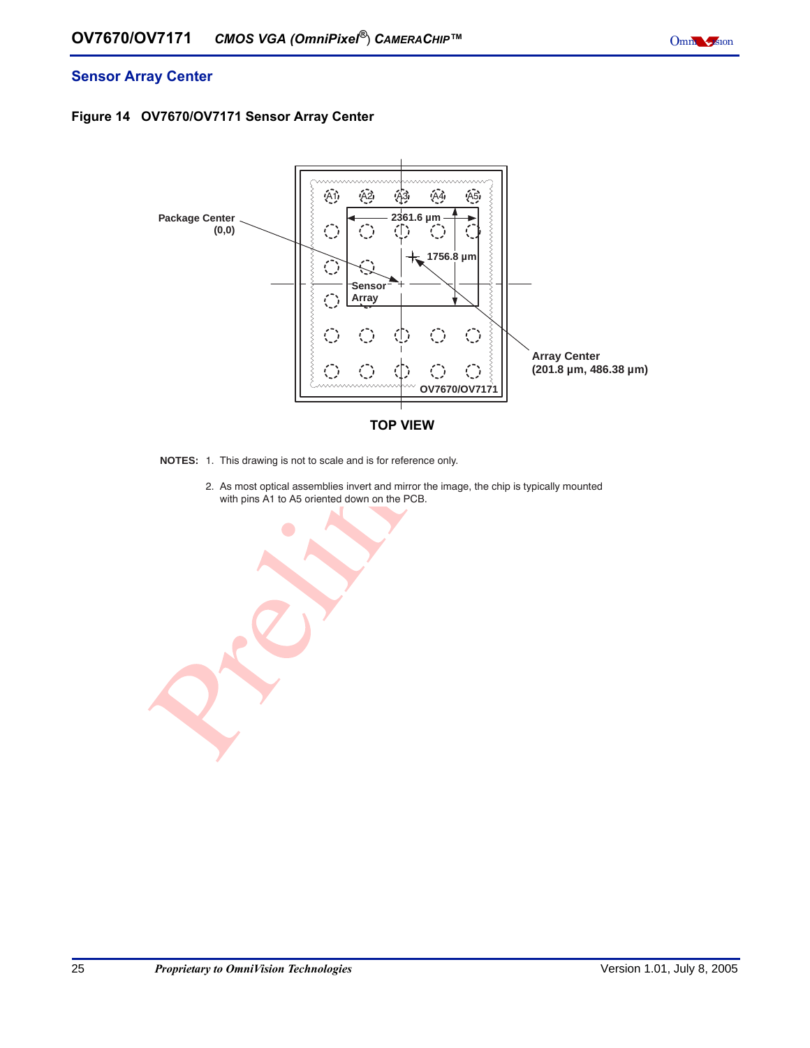

#### **Sensor Array Center**

#### <span id="page-24-0"></span>**Figure 14 OV7670/OV7171 Sensor Array Center**



**NOTES:** 1. This drawing is not to scale and is for reference only.

 $\bullet$ 

2. As most optical assemblies invert and mirror the image, the chip is typically mounted with pins A1 to A5 oriented down on the PCB.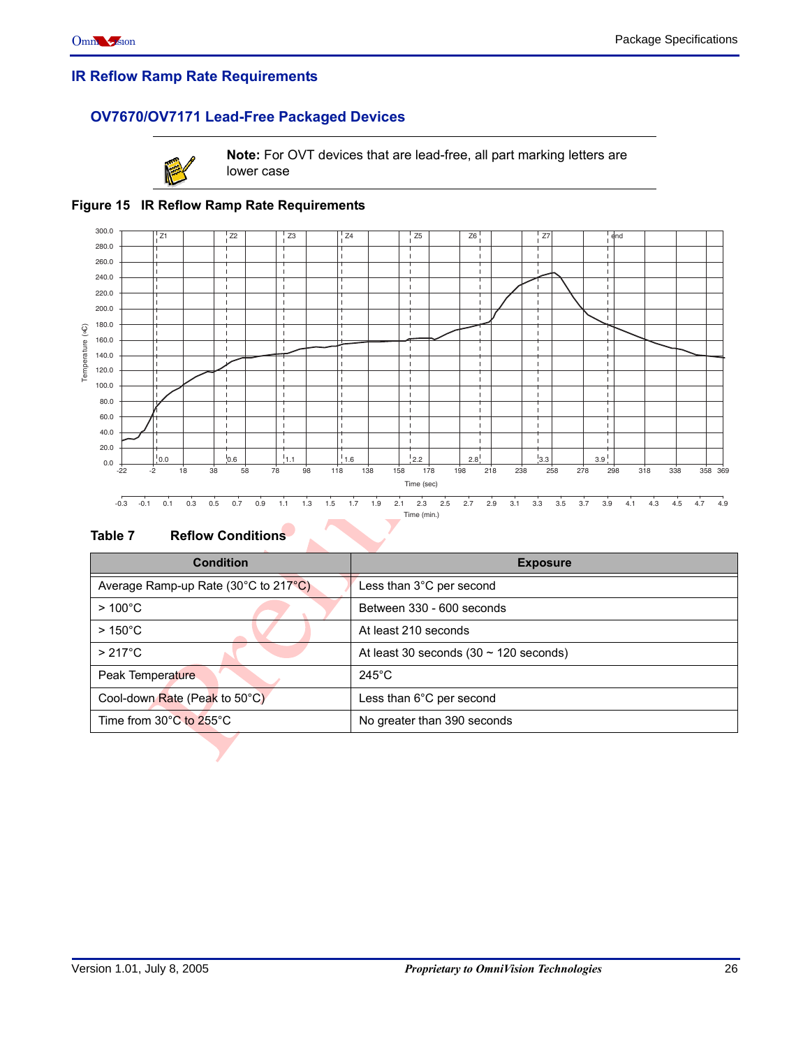## **IR Reflow Ramp Rate Requirements**

## **OV7670/OV7171 Lead-Free Packaged Devices**



**Note:** For OVT devices that are lead-free, all part marking letters are lower case

**Figure 15 IR Reflow Ramp Rate Requirements**



### **Table 7 Reflow Conditions**

| <b>Condition</b>                            | <b>Exposure</b>                             |
|---------------------------------------------|---------------------------------------------|
| Average Ramp-up Rate (30°C to 217°C)        | Less than 3°C per second                    |
| $>100^{\circ}$ C                            | Between 330 - 600 seconds                   |
| $>150^{\circ}$ C                            | At least 210 seconds                        |
| $>217^{\circ}$ C                            | At least 30 seconds $(30 \sim 120$ seconds) |
| Peak Temperature                            | $245^{\circ}$ C                             |
| Cool-down Rate (Peak to 50°C)               | Less than 6°C per second                    |
| Time from $30^{\circ}$ C to $255^{\circ}$ C | No greater than 390 seconds                 |

 $\blacktriangle$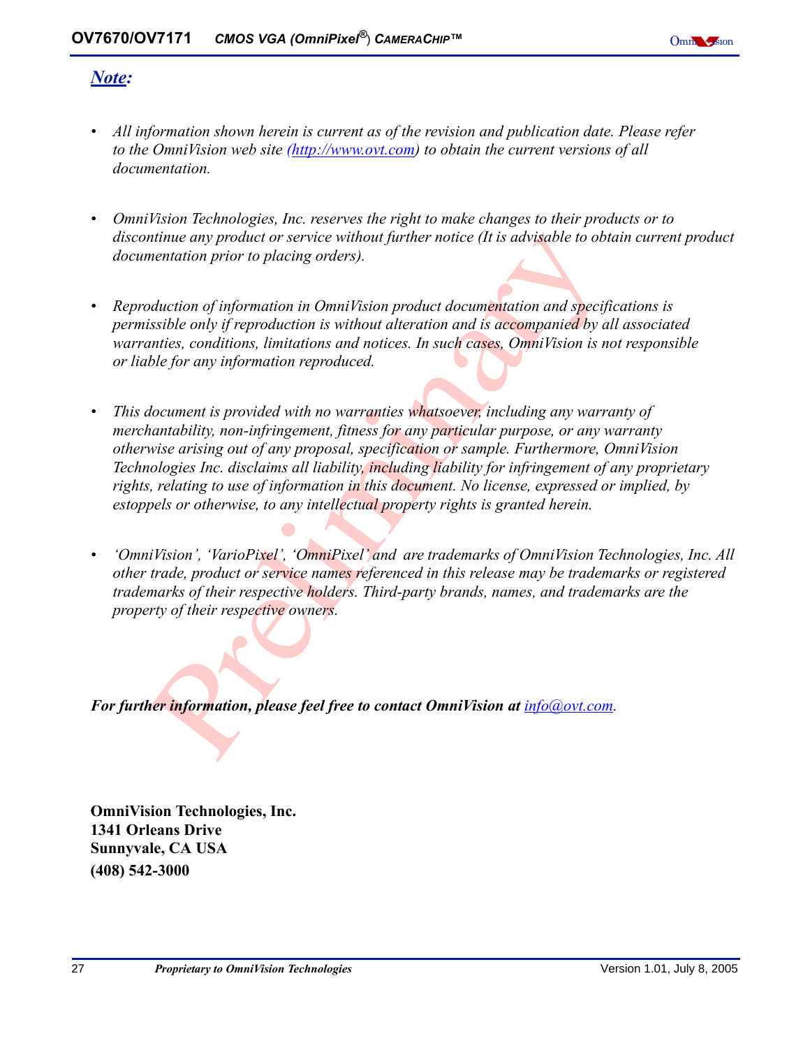

## *Note:*

- *All information shown herein is current as of the revision and publication date. Please refer to the OmniVision web site ([http://www.ovt.com\)](http://www.ovt.com) to obtain the current versions of all documentation.*
- *OmniVision Technologies, Inc. reserves the right to make changes to their products or to discontinue any product or service without further notice (It is advisable to obtain current product documentation prior to placing orders).*
- *Reproduction of information in OmniVision product documentation and specifications is permissible only if reproduction is without alteration and is accompanied by all associated warranties, conditions, limitations and notices. In such cases, OmniVision is not responsible or liable for any information reproduced.*
- This document is provided with no warranties whatsoever, including any warranty of *merchantability, non-infringement, fitness for any particular purpose, or any warranty otherwise arising out of any proposal, specification or sample. Furthermore, OmniVision Technologies Inc. disclaims all liability, including liability for infringement of any proprietary rights, relating to use of information in this document. No license, expressed or implied, by estoppels or otherwise, to any intellectual property rights is granted herein.*
- *'OmniVision', 'VarioPixel', 'OmniPixel' and are trademarks of OmniVision Technologies, Inc. All other trade, product or service names referenced in this release may be trademarks or registered trademarks of their respective holders. Third-party brands, names, and trademarks are the property of their respective owners.*

*For further information, please feel free to contact OmniVision at*  $\frac{info(Q, opt, com)}{p}$ *.* 

**OmniVision Technologies, Inc. 1341 Orleans Drive Sunnyvale, CA USA (408) 542-3000**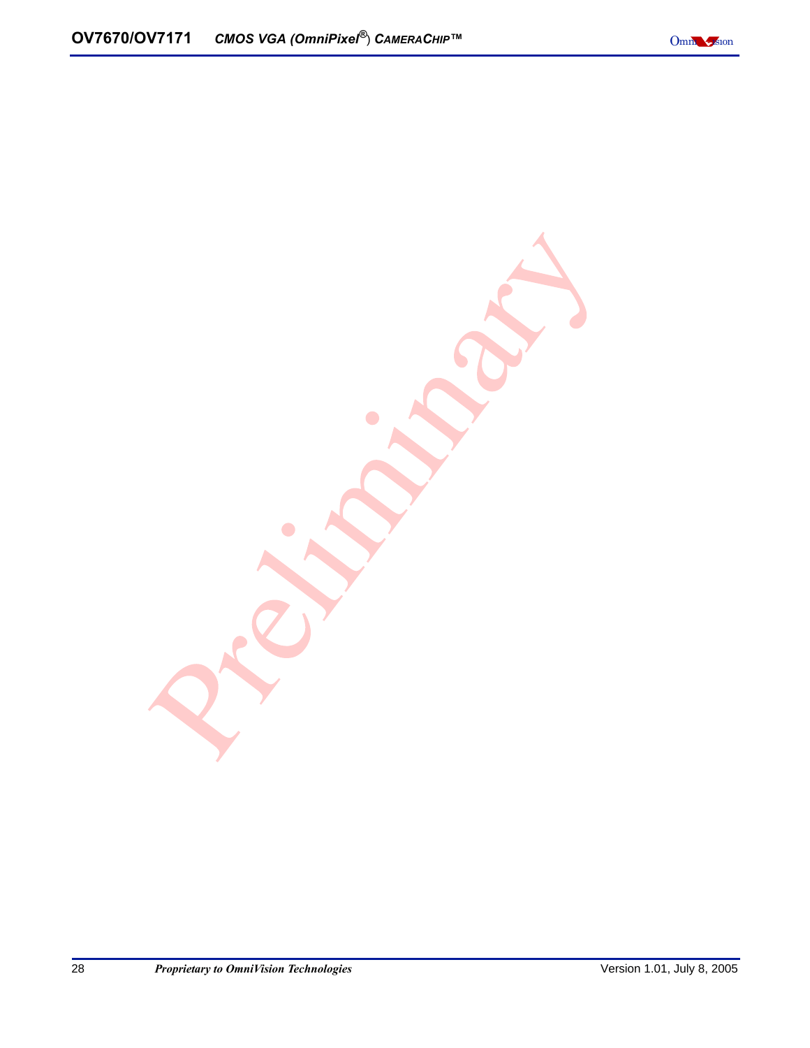

 $\bullet$  $\bullet$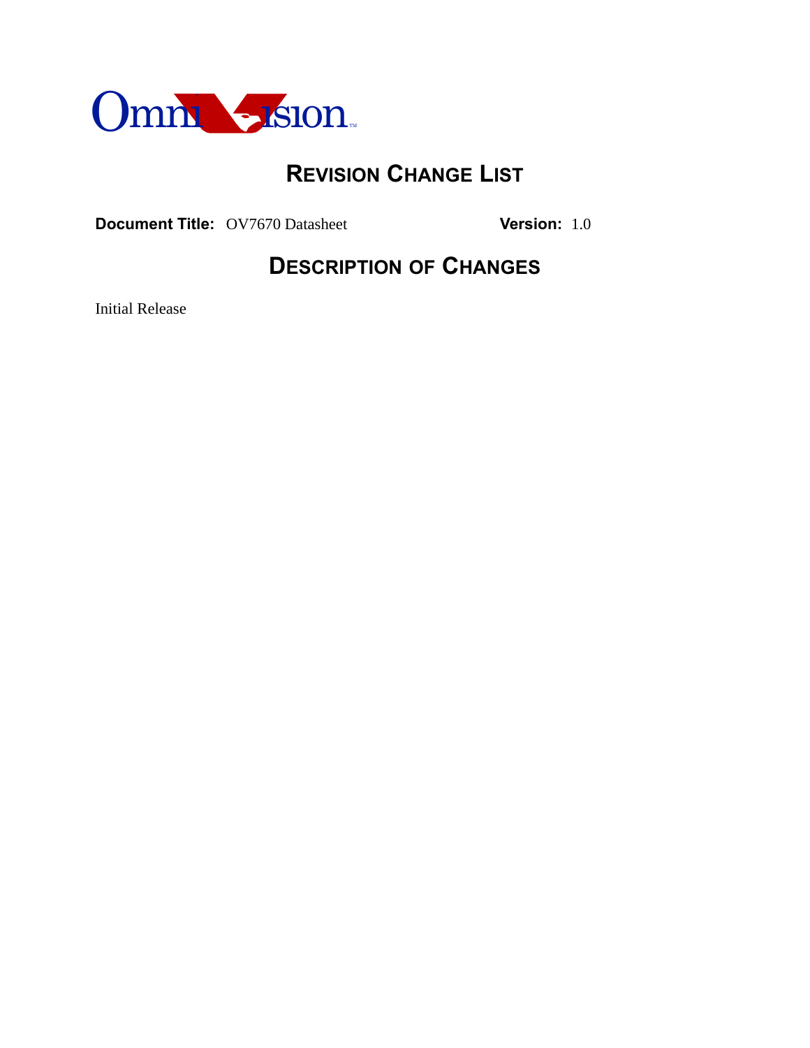

# **REVISION CHANGE LIST**

**Document Title:** OV7670 Datasheet **Version:** 1.0

# **DESCRIPTION OF CHANGES**

Initial Release